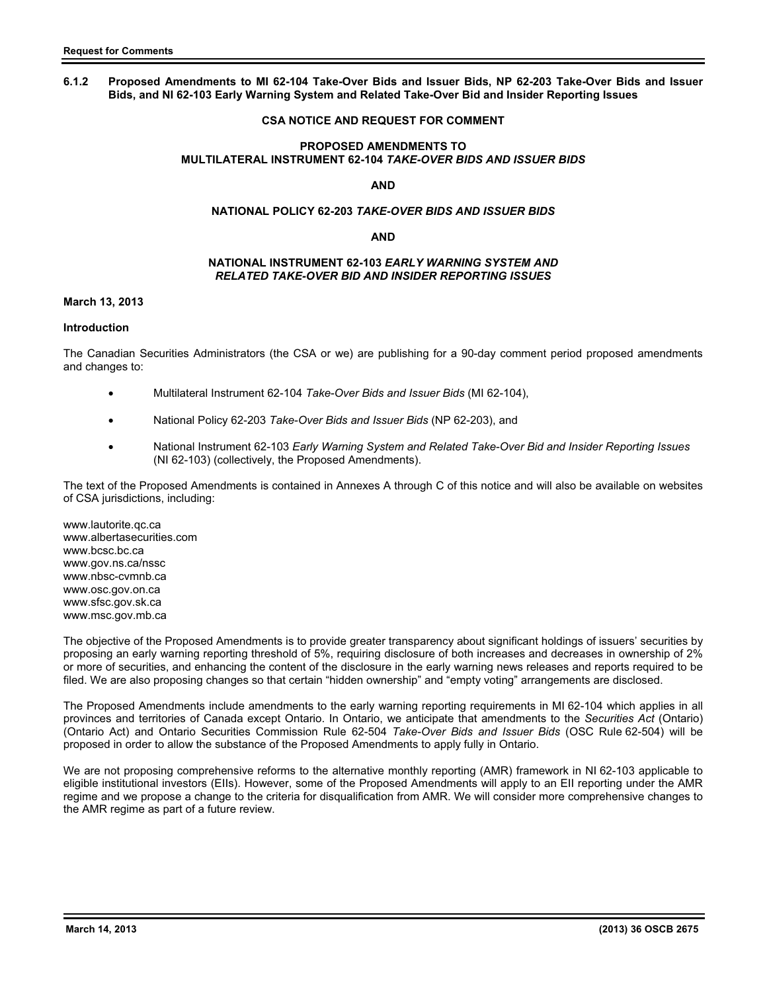# **6.1.2 Proposed Amendments to MI 62-104 Take-Over Bids and Issuer Bids, NP 62-203 Take-Over Bids and Issuer Bids, and NI 62-103 Early Warning System and Related Take-Over Bid and Insider Reporting Issues**

# **CSA NOTICE AND REQUEST FOR COMMENT**

### **PROPOSED AMENDMENTS TO MULTILATERAL INSTRUMENT 62-104** *TAKE-OVER BIDS AND ISSUER BIDS*

### **AND**

### **NATIONAL POLICY 62-203** *TAKE-OVER BIDS AND ISSUER BIDS*

### **AND**

### **NATIONAL INSTRUMENT 62-103** *EARLY WARNING SYSTEM AND RELATED TAKE-OVER BID AND INSIDER REPORTING ISSUES*

# **March 13, 2013**

### **Introduction**

The Canadian Securities Administrators (the CSA or we) are publishing for a 90-day comment period proposed amendments and changes to:

- Multilateral Instrument 62-104 *Take-Over Bids and Issuer Bids* (MI 62-104),
- National Policy 62-203 *Take-Over Bids and Issuer Bids* (NP 62-203), and
- National Instrument 62-103 *Early Warning System and Related Take-Over Bid and Insider Reporting Issues*  (NI 62-103) (collectively, the Proposed Amendments).

The text of the Proposed Amendments is contained in Annexes A through C of this notice and will also be available on websites of CSA jurisdictions, including:

www.lautorite.qc.ca www.albertasecurities.com www.bcsc.bc.ca www.gov.ns.ca/nssc www.nbsc-cvmnb.ca www.osc.gov.on.ca www.sfsc.gov.sk.ca www.msc.gov.mb.ca

The objective of the Proposed Amendments is to provide greater transparency about significant holdings of issuers' securities by proposing an early warning reporting threshold of 5%, requiring disclosure of both increases and decreases in ownership of 2% or more of securities, and enhancing the content of the disclosure in the early warning news releases and reports required to be filed. We are also proposing changes so that certain "hidden ownership" and "empty voting" arrangements are disclosed.

The Proposed Amendments include amendments to the early warning reporting requirements in MI 62-104 which applies in all provinces and territories of Canada except Ontario. In Ontario, we anticipate that amendments to the *Securities Act* (Ontario) (Ontario Act) and Ontario Securities Commission Rule 62-504 *Take-Over Bids and Issuer Bids* (OSC Rule 62-504) will be proposed in order to allow the substance of the Proposed Amendments to apply fully in Ontario.

We are not proposing comprehensive reforms to the alternative monthly reporting (AMR) framework in NI 62-103 applicable to eligible institutional investors (EIIs). However, some of the Proposed Amendments will apply to an EII reporting under the AMR regime and we propose a change to the criteria for disqualification from AMR. We will consider more comprehensive changes to the AMR regime as part of a future review.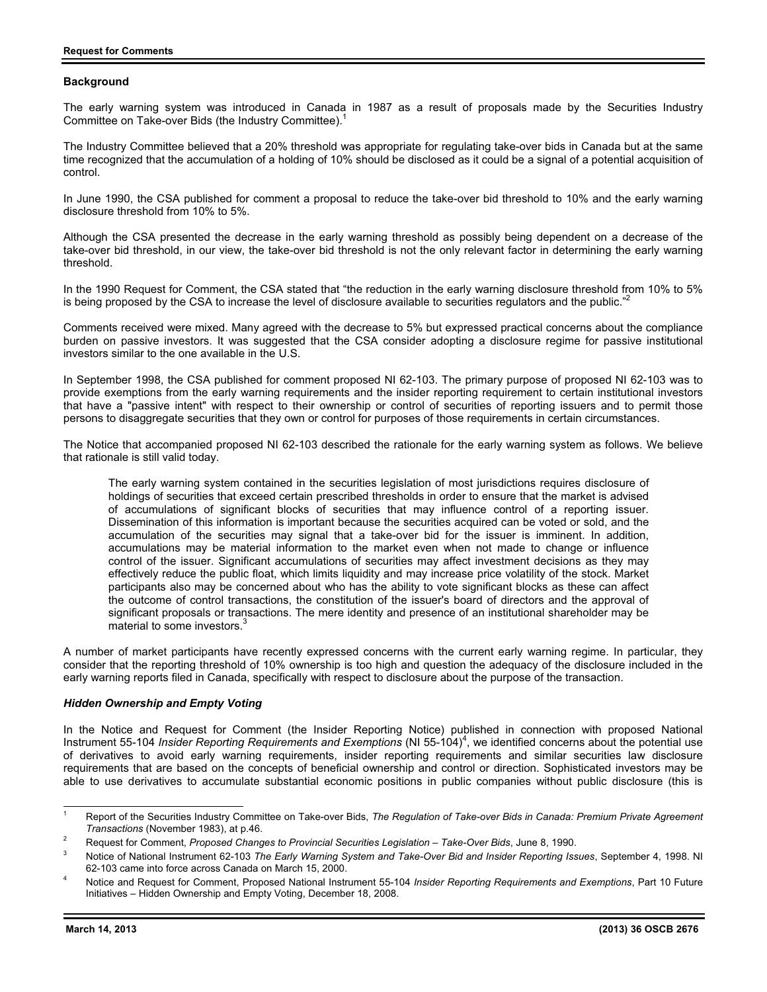### **Background**

The early warning system was introduced in Canada in 1987 as a result of proposals made by the Securities Industry Committee on Take-over Bids (the Industry Committee).1

The Industry Committee believed that a 20% threshold was appropriate for regulating take-over bids in Canada but at the same time recognized that the accumulation of a holding of 10% should be disclosed as it could be a signal of a potential acquisition of control.

In June 1990, the CSA published for comment a proposal to reduce the take-over bid threshold to 10% and the early warning disclosure threshold from 10% to 5%.

Although the CSA presented the decrease in the early warning threshold as possibly being dependent on a decrease of the take-over bid threshold, in our view, the take-over bid threshold is not the only relevant factor in determining the early warning threshold.

In the 1990 Request for Comment, the CSA stated that "the reduction in the early warning disclosure threshold from 10% to 5% is being proposed by the CSA to increase the level of disclosure available to securities regulators and the public. $<sup>n2</sup>$ </sup>

Comments received were mixed. Many agreed with the decrease to 5% but expressed practical concerns about the compliance burden on passive investors. It was suggested that the CSA consider adopting a disclosure regime for passive institutional investors similar to the one available in the U.S.

In September 1998, the CSA published for comment proposed NI 62-103. The primary purpose of proposed NI 62-103 was to provide exemptions from the early warning requirements and the insider reporting requirement to certain institutional investors that have a "passive intent" with respect to their ownership or control of securities of reporting issuers and to permit those persons to disaggregate securities that they own or control for purposes of those requirements in certain circumstances.

The Notice that accompanied proposed NI 62-103 described the rationale for the early warning system as follows. We believe that rationale is still valid today.

The early warning system contained in the securities legislation of most jurisdictions requires disclosure of holdings of securities that exceed certain prescribed thresholds in order to ensure that the market is advised of accumulations of significant blocks of securities that may influence control of a reporting issuer. Dissemination of this information is important because the securities acquired can be voted or sold, and the accumulation of the securities may signal that a take-over bid for the issuer is imminent. In addition, accumulations may be material information to the market even when not made to change or influence control of the issuer. Significant accumulations of securities may affect investment decisions as they may effectively reduce the public float, which limits liquidity and may increase price volatility of the stock. Market participants also may be concerned about who has the ability to vote significant blocks as these can affect the outcome of control transactions, the constitution of the issuer's board of directors and the approval of significant proposals or transactions. The mere identity and presence of an institutional shareholder may be material to some investors.<sup>3</sup>

A number of market participants have recently expressed concerns with the current early warning regime. In particular, they consider that the reporting threshold of 10% ownership is too high and question the adequacy of the disclosure included in the early warning reports filed in Canada, specifically with respect to disclosure about the purpose of the transaction.

# *Hidden Ownership and Empty Voting*

In the Notice and Request for Comment (the Insider Reporting Notice) published in connection with proposed National Instrument 55-104 Insider Reporting Requirements and Exemptions (NI 55-104)<sup>4</sup>, we identified concerns about the potential use of derivatives to avoid early warning requirements, insider reporting requirements and similar securities law disclosure requirements that are based on the concepts of beneficial ownership and control or direction. Sophisticated investors may be able to use derivatives to accumulate substantial economic positions in public companies without public disclosure (this is

<sup>-</sup>1 Report of the Securities Industry Committee on Take-over Bids, *The Regulation of Take-over Bids in Canada: Premium Private Agreement Transactions* (November 1983), at p.46. 2

Request for Comment, *Proposed Changes to Provincial Securities Legislation – Take-Over Bids*, June 8, 1990.

Notice of National Instrument 62-103 *The Early Warning System and Take-Over Bid and Insider Reporting Issues*, September 4, 1998. NI 62-103 came into force across Canada on March 15, 2000. 4

Notice and Request for Comment, Proposed National Instrument 55-104 *Insider Reporting Requirements and Exemptions*, Part 10 Future Initiatives – Hidden Ownership and Empty Voting, December 18, 2008.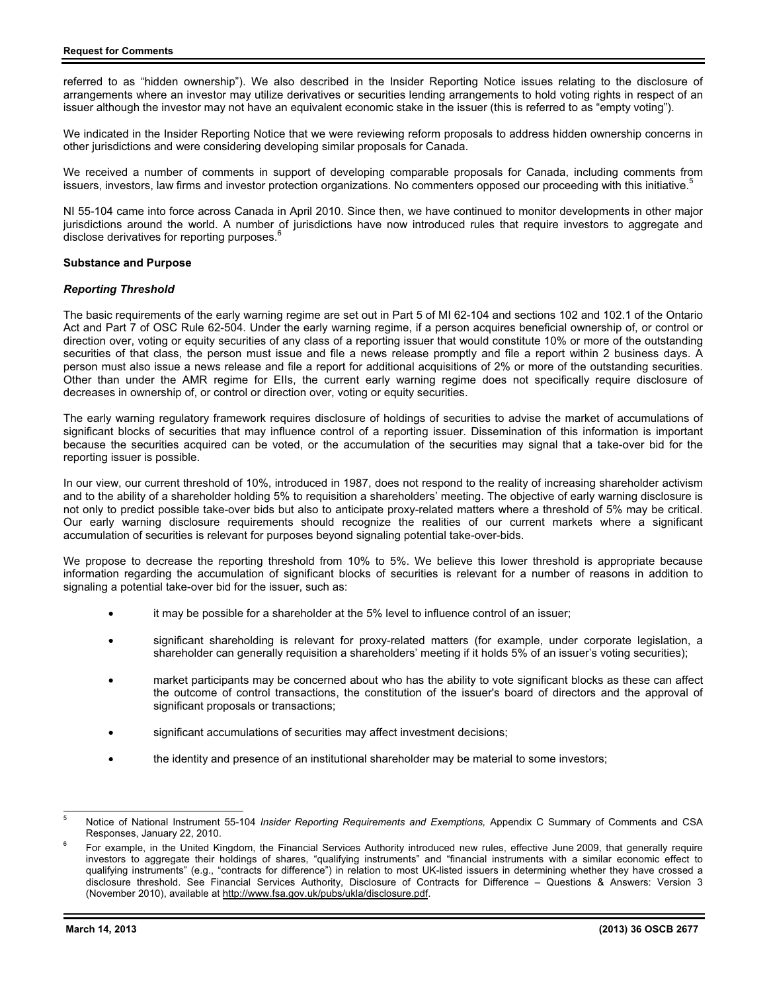referred to as "hidden ownership"). We also described in the Insider Reporting Notice issues relating to the disclosure of arrangements where an investor may utilize derivatives or securities lending arrangements to hold voting rights in respect of an issuer although the investor may not have an equivalent economic stake in the issuer (this is referred to as "empty voting").

We indicated in the Insider Reporting Notice that we were reviewing reform proposals to address hidden ownership concerns in other jurisdictions and were considering developing similar proposals for Canada.

We received a number of comments in support of developing comparable proposals for Canada, including comments from issuers, investors, law firms and investor protection organizations. No commenters opposed our proceeding with this initiative.<sup>5</sup>

NI 55-104 came into force across Canada in April 2010. Since then, we have continued to monitor developments in other major jurisdictions around the world. A number of jurisdictions have now introduced rules that require investors to aggregate and disclose derivatives for reporting purposes.<sup>6</sup>

### **Substance and Purpose**

### *Reporting Threshold*

The basic requirements of the early warning regime are set out in Part 5 of MI 62-104 and sections 102 and 102.1 of the Ontario Act and Part 7 of OSC Rule 62-504. Under the early warning regime, if a person acquires beneficial ownership of, or control or direction over, voting or equity securities of any class of a reporting issuer that would constitute 10% or more of the outstanding securities of that class, the person must issue and file a news release promptly and file a report within 2 business days. A person must also issue a news release and file a report for additional acquisitions of 2% or more of the outstanding securities. Other than under the AMR regime for EIIs, the current early warning regime does not specifically require disclosure of decreases in ownership of, or control or direction over, voting or equity securities.

The early warning regulatory framework requires disclosure of holdings of securities to advise the market of accumulations of significant blocks of securities that may influence control of a reporting issuer. Dissemination of this information is important because the securities acquired can be voted, or the accumulation of the securities may signal that a take-over bid for the reporting issuer is possible.

In our view, our current threshold of 10%, introduced in 1987, does not respond to the reality of increasing shareholder activism and to the ability of a shareholder holding 5% to requisition a shareholders' meeting. The objective of early warning disclosure is not only to predict possible take-over bids but also to anticipate proxy-related matters where a threshold of 5% may be critical. Our early warning disclosure requirements should recognize the realities of our current markets where a significant accumulation of securities is relevant for purposes beyond signaling potential take-over-bids.

We propose to decrease the reporting threshold from 10% to 5%. We believe this lower threshold is appropriate because information regarding the accumulation of significant blocks of securities is relevant for a number of reasons in addition to signaling a potential take-over bid for the issuer, such as:

- it may be possible for a shareholder at the 5% level to influence control of an issuer;
- significant shareholding is relevant for proxy-related matters (for example, under corporate legislation, a shareholder can generally requisition a shareholders' meeting if it holds 5% of an issuer's voting securities);
- market participants may be concerned about who has the ability to vote significant blocks as these can affect the outcome of control transactions, the constitution of the issuer's board of directors and the approval of significant proposals or transactions;
- significant accumulations of securities may affect investment decisions;
- the identity and presence of an institutional shareholder may be material to some investors;

<sup>-&</sup>lt;br>5 Notice of National Instrument 55-104 *Insider Reporting Requirements and Exemptions,* Appendix C Summary of Comments and CSA Responses, January 22, 2010.

For example, in the United Kingdom, the Financial Services Authority introduced new rules, effective June 2009, that generally require investors to aggregate their holdings of shares, "qualifying instruments" and "financial instruments with a similar economic effect to qualifying instruments" (e.g., "contracts for difference") in relation to most UK-listed issuers in determining whether they have crossed a disclosure threshold. See Financial Services Authority, Disclosure of Contracts for Difference – Questions & Answers: Version 3 (November 2010), available at http://www.fsa.gov.uk/pubs/ukla/disclosure.pdf.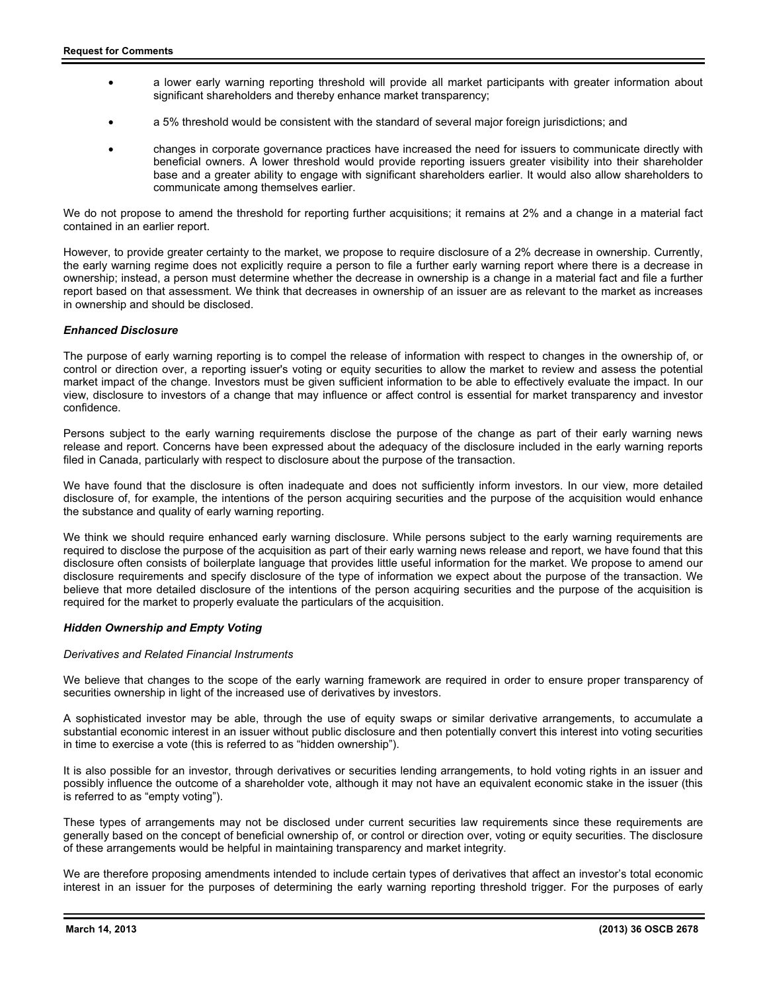- a lower early warning reporting threshold will provide all market participants with greater information about significant shareholders and thereby enhance market transparency;
- a 5% threshold would be consistent with the standard of several major foreign jurisdictions; and
- changes in corporate governance practices have increased the need for issuers to communicate directly with beneficial owners. A lower threshold would provide reporting issuers greater visibility into their shareholder base and a greater ability to engage with significant shareholders earlier. It would also allow shareholders to communicate among themselves earlier.

We do not propose to amend the threshold for reporting further acquisitions; it remains at 2% and a change in a material fact contained in an earlier report.

However, to provide greater certainty to the market, we propose to require disclosure of a 2% decrease in ownership. Currently, the early warning regime does not explicitly require a person to file a further early warning report where there is a decrease in ownership; instead, a person must determine whether the decrease in ownership is a change in a material fact and file a further report based on that assessment. We think that decreases in ownership of an issuer are as relevant to the market as increases in ownership and should be disclosed.

### *Enhanced Disclosure*

The purpose of early warning reporting is to compel the release of information with respect to changes in the ownership of, or control or direction over, a reporting issuer's voting or equity securities to allow the market to review and assess the potential market impact of the change. Investors must be given sufficient information to be able to effectively evaluate the impact. In our view, disclosure to investors of a change that may influence or affect control is essential for market transparency and investor confidence.

Persons subject to the early warning requirements disclose the purpose of the change as part of their early warning news release and report. Concerns have been expressed about the adequacy of the disclosure included in the early warning reports filed in Canada, particularly with respect to disclosure about the purpose of the transaction.

We have found that the disclosure is often inadequate and does not sufficiently inform investors. In our view, more detailed disclosure of, for example, the intentions of the person acquiring securities and the purpose of the acquisition would enhance the substance and quality of early warning reporting.

We think we should require enhanced early warning disclosure. While persons subject to the early warning requirements are required to disclose the purpose of the acquisition as part of their early warning news release and report, we have found that this disclosure often consists of boilerplate language that provides little useful information for the market. We propose to amend our disclosure requirements and specify disclosure of the type of information we expect about the purpose of the transaction. We believe that more detailed disclosure of the intentions of the person acquiring securities and the purpose of the acquisition is required for the market to properly evaluate the particulars of the acquisition.

# *Hidden Ownership and Empty Voting*

#### *Derivatives and Related Financial Instruments*

We believe that changes to the scope of the early warning framework are required in order to ensure proper transparency of securities ownership in light of the increased use of derivatives by investors.

A sophisticated investor may be able, through the use of equity swaps or similar derivative arrangements, to accumulate a substantial economic interest in an issuer without public disclosure and then potentially convert this interest into voting securities in time to exercise a vote (this is referred to as "hidden ownership").

It is also possible for an investor, through derivatives or securities lending arrangements, to hold voting rights in an issuer and possibly influence the outcome of a shareholder vote, although it may not have an equivalent economic stake in the issuer (this is referred to as "empty voting").

These types of arrangements may not be disclosed under current securities law requirements since these requirements are generally based on the concept of beneficial ownership of, or control or direction over, voting or equity securities. The disclosure of these arrangements would be helpful in maintaining transparency and market integrity.

We are therefore proposing amendments intended to include certain types of derivatives that affect an investor's total economic interest in an issuer for the purposes of determining the early warning reporting threshold trigger. For the purposes of early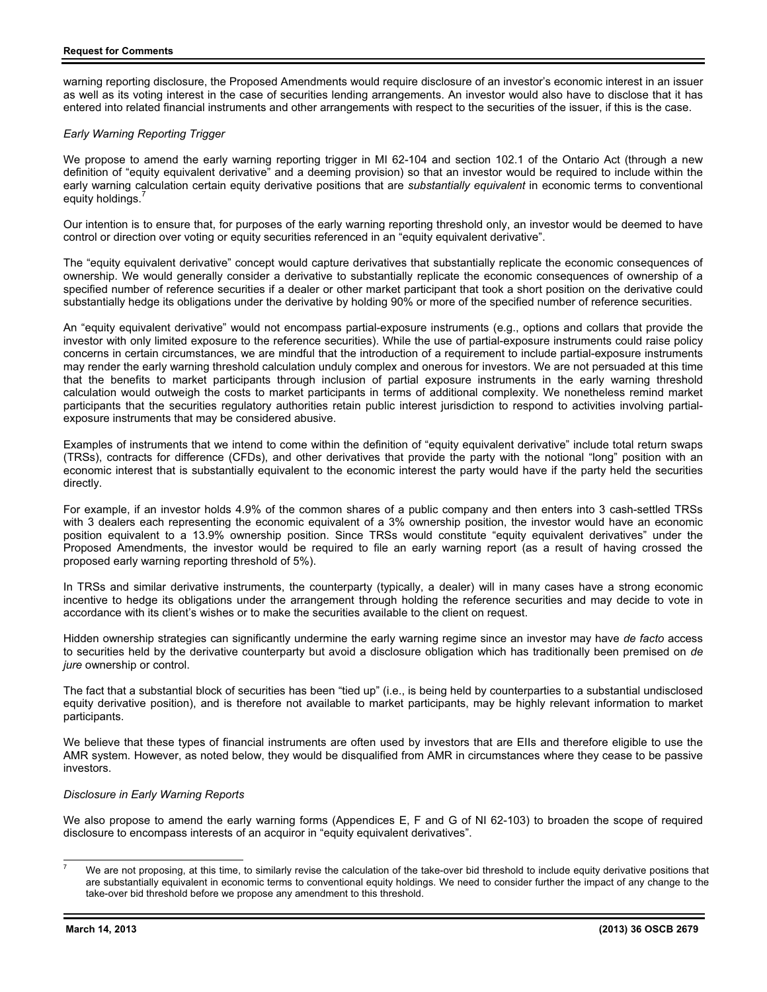warning reporting disclosure, the Proposed Amendments would require disclosure of an investor's economic interest in an issuer as well as its voting interest in the case of securities lending arrangements. An investor would also have to disclose that it has entered into related financial instruments and other arrangements with respect to the securities of the issuer, if this is the case.

# *Early Warning Reporting Trigger*

We propose to amend the early warning reporting trigger in MI 62-104 and section 102.1 of the Ontario Act (through a new definition of "equity equivalent derivative" and a deeming provision) so that an investor would be required to include within the early warning calculation certain equity derivative positions that are *substantially equivalent* in economic terms to conventional equity holdings.

Our intention is to ensure that, for purposes of the early warning reporting threshold only, an investor would be deemed to have control or direction over voting or equity securities referenced in an "equity equivalent derivative".

The "equity equivalent derivative" concept would capture derivatives that substantially replicate the economic consequences of ownership. We would generally consider a derivative to substantially replicate the economic consequences of ownership of a specified number of reference securities if a dealer or other market participant that took a short position on the derivative could substantially hedge its obligations under the derivative by holding 90% or more of the specified number of reference securities.

An "equity equivalent derivative" would not encompass partial-exposure instruments (e.g., options and collars that provide the investor with only limited exposure to the reference securities). While the use of partial-exposure instruments could raise policy concerns in certain circumstances, we are mindful that the introduction of a requirement to include partial-exposure instruments may render the early warning threshold calculation unduly complex and onerous for investors. We are not persuaded at this time that the benefits to market participants through inclusion of partial exposure instruments in the early warning threshold calculation would outweigh the costs to market participants in terms of additional complexity. We nonetheless remind market participants that the securities regulatory authorities retain public interest jurisdiction to respond to activities involving partialexposure instruments that may be considered abusive.

Examples of instruments that we intend to come within the definition of "equity equivalent derivative" include total return swaps (TRSs), contracts for difference (CFDs), and other derivatives that provide the party with the notional "long" position with an economic interest that is substantially equivalent to the economic interest the party would have if the party held the securities directly.

For example, if an investor holds 4.9% of the common shares of a public company and then enters into 3 cash-settled TRSs with 3 dealers each representing the economic equivalent of a 3% ownership position, the investor would have an economic position equivalent to a 13.9% ownership position. Since TRSs would constitute "equity equivalent derivatives" under the Proposed Amendments, the investor would be required to file an early warning report (as a result of having crossed the proposed early warning reporting threshold of 5%).

In TRSs and similar derivative instruments, the counterparty (typically, a dealer) will in many cases have a strong economic incentive to hedge its obligations under the arrangement through holding the reference securities and may decide to vote in accordance with its client's wishes or to make the securities available to the client on request.

Hidden ownership strategies can significantly undermine the early warning regime since an investor may have *de facto* access to securities held by the derivative counterparty but avoid a disclosure obligation which has traditionally been premised on *de jure* ownership or control.

The fact that a substantial block of securities has been "tied up" (i.e., is being held by counterparties to a substantial undisclosed equity derivative position), and is therefore not available to market participants, may be highly relevant information to market participants.

We believe that these types of financial instruments are often used by investors that are EIIs and therefore eligible to use the AMR system. However, as noted below, they would be disqualified from AMR in circumstances where they cease to be passive investors.

#### *Disclosure in Early Warning Reports*

We also propose to amend the early warning forms (Appendices E, F and G of NI 62-103) to broaden the scope of required disclosure to encompass interests of an acquiror in "equity equivalent derivatives".

 $\overline{a}$ 

<sup>7</sup> We are not proposing, at this time, to similarly revise the calculation of the take-over bid threshold to include equity derivative positions that are substantially equivalent in economic terms to conventional equity holdings. We need to consider further the impact of any change to the take-over bid threshold before we propose any amendment to this threshold.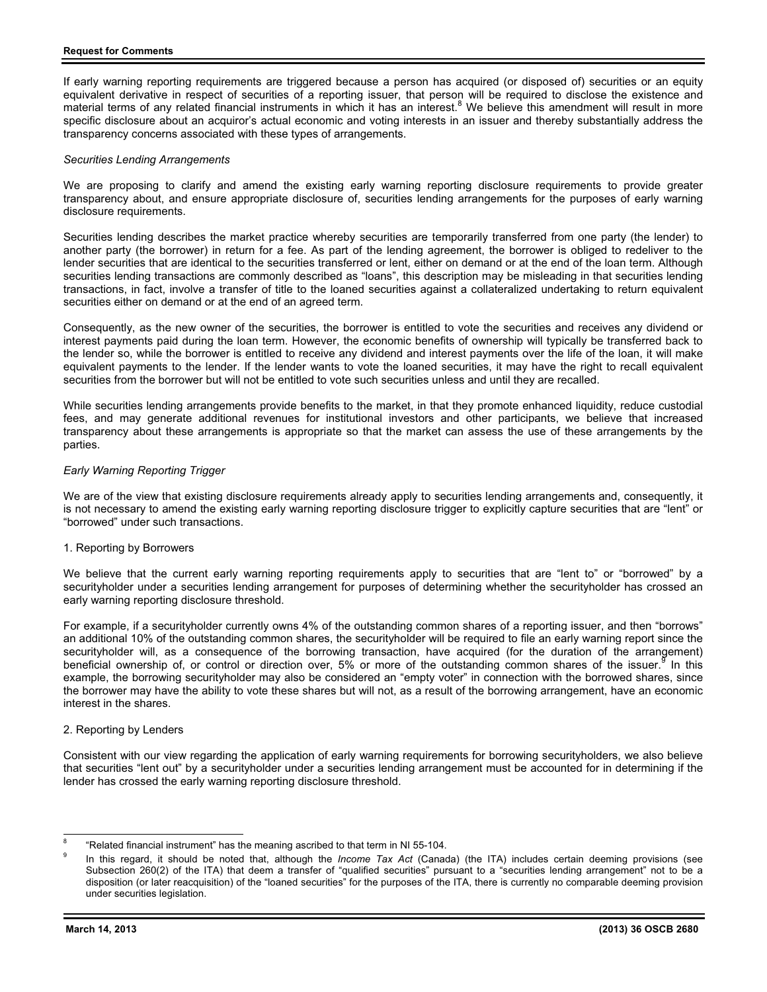If early warning reporting requirements are triggered because a person has acquired (or disposed of) securities or an equity equivalent derivative in respect of securities of a reporting issuer, that person will be required to disclose the existence and material terms of any related financial instruments in which it has an interest.<sup>8</sup> We believe this amendment will result in more specific disclosure about an acquiror's actual economic and voting interests in an issuer and thereby substantially address the transparency concerns associated with these types of arrangements.

# *Securities Lending Arrangements*

We are proposing to clarify and amend the existing early warning reporting disclosure requirements to provide greater transparency about, and ensure appropriate disclosure of, securities lending arrangements for the purposes of early warning disclosure requirements.

Securities lending describes the market practice whereby securities are temporarily transferred from one party (the lender) to another party (the borrower) in return for a fee. As part of the lending agreement, the borrower is obliged to redeliver to the lender securities that are identical to the securities transferred or lent, either on demand or at the end of the loan term. Although securities lending transactions are commonly described as "loans", this description may be misleading in that securities lending transactions, in fact, involve a transfer of title to the loaned securities against a collateralized undertaking to return equivalent securities either on demand or at the end of an agreed term.

Consequently, as the new owner of the securities, the borrower is entitled to vote the securities and receives any dividend or interest payments paid during the loan term. However, the economic benefits of ownership will typically be transferred back to the lender so, while the borrower is entitled to receive any dividend and interest payments over the life of the loan, it will make equivalent payments to the lender. If the lender wants to vote the loaned securities, it may have the right to recall equivalent securities from the borrower but will not be entitled to vote such securities unless and until they are recalled.

While securities lending arrangements provide benefits to the market, in that they promote enhanced liquidity, reduce custodial fees, and may generate additional revenues for institutional investors and other participants, we believe that increased transparency about these arrangements is appropriate so that the market can assess the use of these arrangements by the parties.

### *Early Warning Reporting Trigger*

We are of the view that existing disclosure requirements already apply to securities lending arrangements and, consequently, it is not necessary to amend the existing early warning reporting disclosure trigger to explicitly capture securities that are "lent" or "borrowed" under such transactions.

# 1. Reporting by Borrowers

We believe that the current early warning reporting requirements apply to securities that are "lent to" or "borrowed" by a securityholder under a securities lending arrangement for purposes of determining whether the securityholder has crossed an early warning reporting disclosure threshold.

For example, if a securityholder currently owns 4% of the outstanding common shares of a reporting issuer, and then "borrows" an additional 10% of the outstanding common shares, the securityholder will be required to file an early warning report since the securityholder will, as a consequence of the borrowing transaction, have acquired (for the duration of the arrangement) beneficial ownership of, or control or direction over, 5% or more of the outstanding common shares of the issuer.<sup>9</sup> In this example, the borrowing securityholder may also be considered an "empty voter" in connection with the borrowed shares, since the borrower may have the ability to vote these shares but will not, as a result of the borrowing arrangement, have an economic interest in the shares.

#### 2. Reporting by Lenders

Consistent with our view regarding the application of early warning requirements for borrowing securityholders, we also believe that securities "lent out" by a securityholder under a securities lending arrangement must be accounted for in determining if the lender has crossed the early warning reporting disclosure threshold.

 $\frac{1}{2}$ 8 "Related financial instrument" has the meaning ascribed to that term in NI 55-104.

<sup>9</sup> In this regard, it should be noted that, although the *Income Tax Act* (Canada) (the ITA) includes certain deeming provisions (see Subsection 260(2) of the ITA) that deem a transfer of "qualified securities" pursuant to a "securities lending arrangement" not to be a disposition (or later reacquisition) of the "loaned securities" for the purposes of the ITA, there is currently no comparable deeming provision under securities legislation.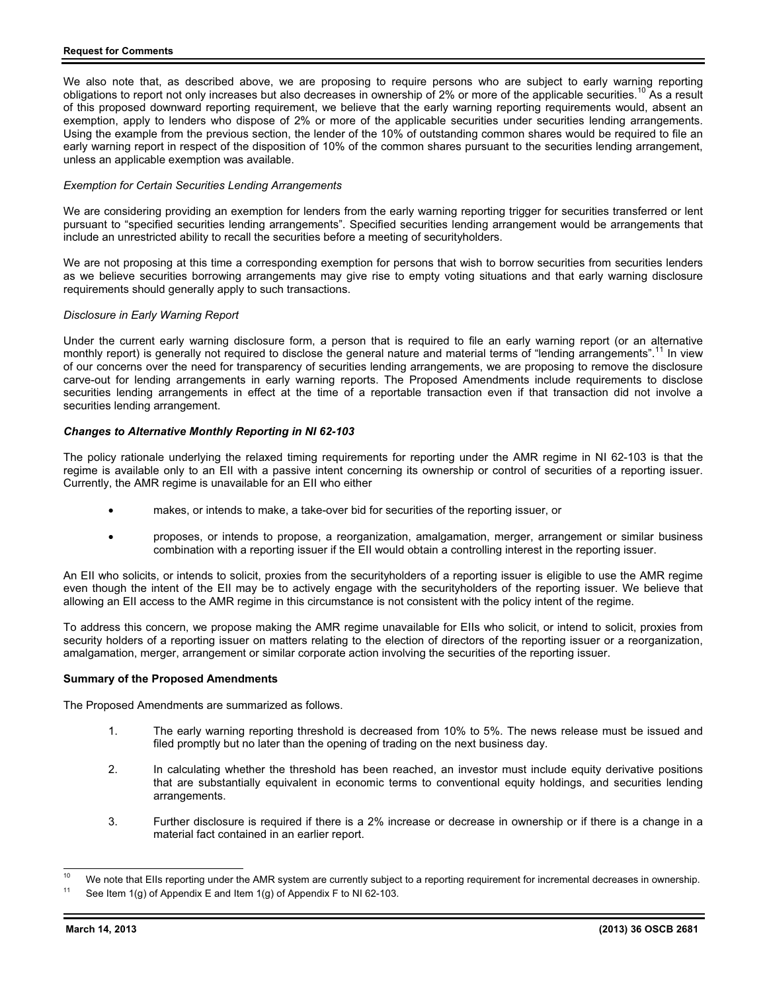We also note that, as described above, we are proposing to require persons who are subject to early warning reporting obligations to report not only increases but also decreases in ownership of 2% or more of the applicable securities.<sup>10</sup> As a result of this proposed downward reporting requirement, we believe that the early warning reporting requirements would, absent an exemption, apply to lenders who dispose of 2% or more of the applicable securities under securities lending arrangements. Using the example from the previous section, the lender of the 10% of outstanding common shares would be required to file an early warning report in respect of the disposition of 10% of the common shares pursuant to the securities lending arrangement, unless an applicable exemption was available.

## *Exemption for Certain Securities Lending Arrangements*

We are considering providing an exemption for lenders from the early warning reporting trigger for securities transferred or lent pursuant to "specified securities lending arrangements". Specified securities lending arrangement would be arrangements that include an unrestricted ability to recall the securities before a meeting of securityholders.

We are not proposing at this time a corresponding exemption for persons that wish to borrow securities from securities lenders as we believe securities borrowing arrangements may give rise to empty voting situations and that early warning disclosure requirements should generally apply to such transactions.

### *Disclosure in Early Warning Report*

Under the current early warning disclosure form, a person that is required to file an early warning report (or an alternative monthly report) is generally not required to disclose the general nature and material terms of "lending arrangements".<sup>11</sup> In view of our concerns over the need for transparency of securities lending arrangements, we are proposing to remove the disclosure carve-out for lending arrangements in early warning reports. The Proposed Amendments include requirements to disclose securities lending arrangements in effect at the time of a reportable transaction even if that transaction did not involve a securities lending arrangement.

# *Changes to Alternative Monthly Reporting in NI 62-103*

The policy rationale underlying the relaxed timing requirements for reporting under the AMR regime in NI 62-103 is that the regime is available only to an EII with a passive intent concerning its ownership or control of securities of a reporting issuer. Currently, the AMR regime is unavailable for an EII who either

- makes, or intends to make, a take-over bid for securities of the reporting issuer, or
- proposes, or intends to propose, a reorganization, amalgamation, merger, arrangement or similar business combination with a reporting issuer if the EII would obtain a controlling interest in the reporting issuer.

An EII who solicits, or intends to solicit, proxies from the securityholders of a reporting issuer is eligible to use the AMR regime even though the intent of the EII may be to actively engage with the securityholders of the reporting issuer. We believe that allowing an EII access to the AMR regime in this circumstance is not consistent with the policy intent of the regime.

To address this concern, we propose making the AMR regime unavailable for EIIs who solicit, or intend to solicit, proxies from security holders of a reporting issuer on matters relating to the election of directors of the reporting issuer or a reorganization, amalgamation, merger, arrangement or similar corporate action involving the securities of the reporting issuer.

# **Summary of the Proposed Amendments**

The Proposed Amendments are summarized as follows.

- 1. The early warning reporting threshold is decreased from 10% to 5%. The news release must be issued and filed promptly but no later than the opening of trading on the next business day.
- 2. In calculating whether the threshold has been reached, an investor must include equity derivative positions that are substantially equivalent in economic terms to conventional equity holdings, and securities lending arrangements.
- 3. Further disclosure is required if there is a 2% increase or decrease in ownership or if there is a change in a material fact contained in an earlier report.

 $10$  $^{10}$  We note that EIIs reporting under the AMR system are currently subject to a reporting requirement for incremental decreases in ownership.<br><sup>11</sup> See Item 1(g) of Appendix E and Item 1(g) of Appendix F to NI 62-103.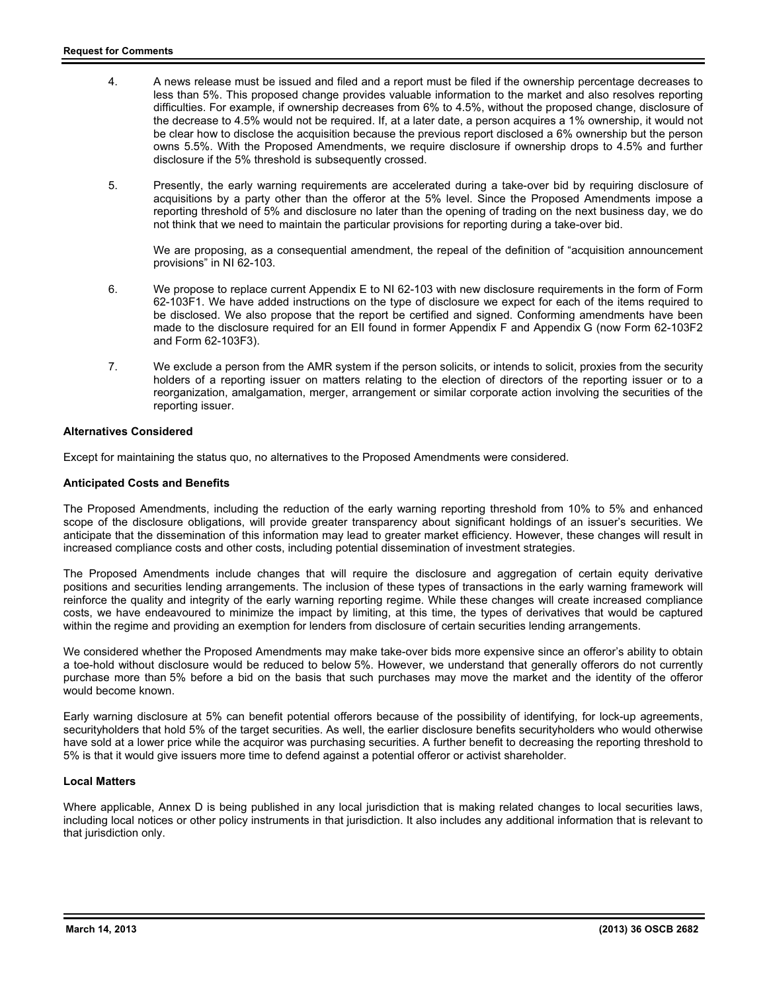- 4. A news release must be issued and filed and a report must be filed if the ownership percentage decreases to less than 5%. This proposed change provides valuable information to the market and also resolves reporting difficulties. For example, if ownership decreases from 6% to 4.5%, without the proposed change, disclosure of the decrease to 4.5% would not be required. If, at a later date, a person acquires a 1% ownership, it would not be clear how to disclose the acquisition because the previous report disclosed a 6% ownership but the person owns 5.5%. With the Proposed Amendments, we require disclosure if ownership drops to 4.5% and further disclosure if the 5% threshold is subsequently crossed.
- 5. Presently, the early warning requirements are accelerated during a take-over bid by requiring disclosure of acquisitions by a party other than the offeror at the 5% level. Since the Proposed Amendments impose a reporting threshold of 5% and disclosure no later than the opening of trading on the next business day, we do not think that we need to maintain the particular provisions for reporting during a take-over bid.

We are proposing, as a consequential amendment, the repeal of the definition of "acquisition announcement provisions" in NI 62-103.

- 6. We propose to replace current Appendix E to NI 62-103 with new disclosure requirements in the form of Form 62-103F1. We have added instructions on the type of disclosure we expect for each of the items required to be disclosed. We also propose that the report be certified and signed. Conforming amendments have been made to the disclosure required for an EII found in former Appendix F and Appendix G (now Form 62-103F2 and Form 62-103F3).
- 7. We exclude a person from the AMR system if the person solicits, or intends to solicit, proxies from the security holders of a reporting issuer on matters relating to the election of directors of the reporting issuer or to a reorganization, amalgamation, merger, arrangement or similar corporate action involving the securities of the reporting issuer.

# **Alternatives Considered**

Except for maintaining the status quo, no alternatives to the Proposed Amendments were considered.

# **Anticipated Costs and Benefits**

The Proposed Amendments, including the reduction of the early warning reporting threshold from 10% to 5% and enhanced scope of the disclosure obligations, will provide greater transparency about significant holdings of an issuer's securities. We anticipate that the dissemination of this information may lead to greater market efficiency. However, these changes will result in increased compliance costs and other costs, including potential dissemination of investment strategies.

The Proposed Amendments include changes that will require the disclosure and aggregation of certain equity derivative positions and securities lending arrangements. The inclusion of these types of transactions in the early warning framework will reinforce the quality and integrity of the early warning reporting regime. While these changes will create increased compliance costs, we have endeavoured to minimize the impact by limiting, at this time, the types of derivatives that would be captured within the regime and providing an exemption for lenders from disclosure of certain securities lending arrangements.

We considered whether the Proposed Amendments may make take-over bids more expensive since an offeror's ability to obtain a toe-hold without disclosure would be reduced to below 5%. However, we understand that generally offerors do not currently purchase more than 5% before a bid on the basis that such purchases may move the market and the identity of the offeror would become known.

Early warning disclosure at 5% can benefit potential offerors because of the possibility of identifying, for lock-up agreements, securityholders that hold 5% of the target securities. As well, the earlier disclosure benefits securityholders who would otherwise have sold at a lower price while the acquiror was purchasing securities. A further benefit to decreasing the reporting threshold to 5% is that it would give issuers more time to defend against a potential offeror or activist shareholder.

# **Local Matters**

Where applicable, Annex D is being published in any local jurisdiction that is making related changes to local securities laws, including local notices or other policy instruments in that jurisdiction. It also includes any additional information that is relevant to that jurisdiction only.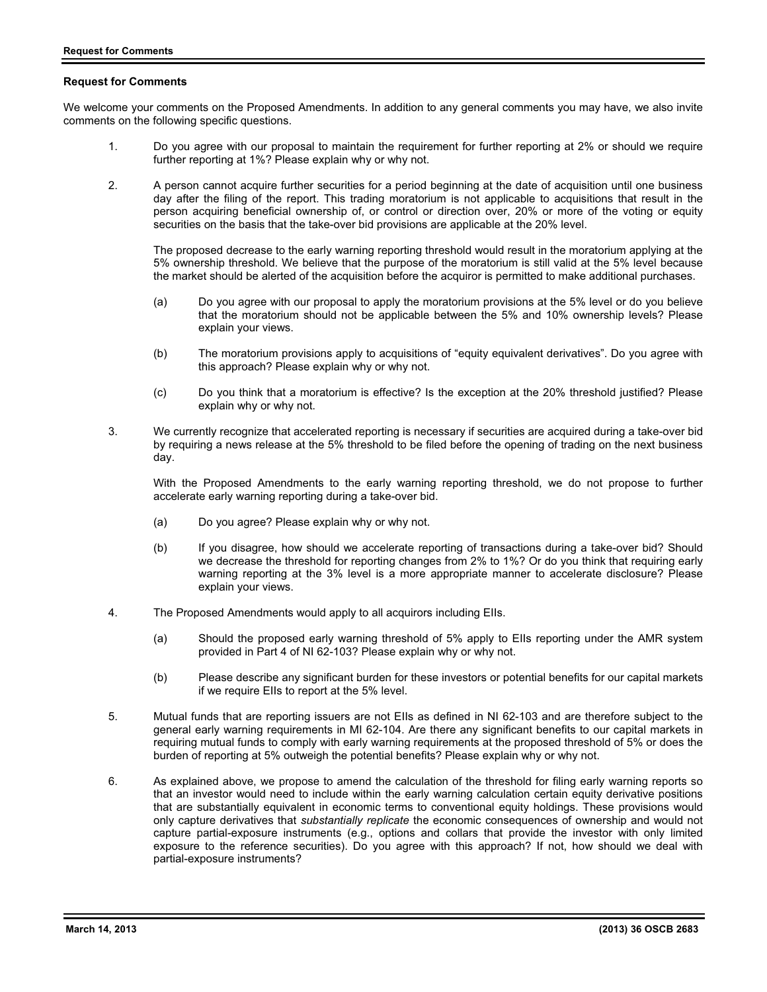# **Request for Comments**

We welcome your comments on the Proposed Amendments. In addition to any general comments you may have, we also invite comments on the following specific questions.

- 1. Do you agree with our proposal to maintain the requirement for further reporting at 2% or should we require further reporting at 1%? Please explain why or why not.
- 2. A person cannot acquire further securities for a period beginning at the date of acquisition until one business day after the filing of the report. This trading moratorium is not applicable to acquisitions that result in the person acquiring beneficial ownership of, or control or direction over, 20% or more of the voting or equity securities on the basis that the take-over bid provisions are applicable at the 20% level.

The proposed decrease to the early warning reporting threshold would result in the moratorium applying at the 5% ownership threshold. We believe that the purpose of the moratorium is still valid at the 5% level because the market should be alerted of the acquisition before the acquiror is permitted to make additional purchases.

- (a) Do you agree with our proposal to apply the moratorium provisions at the 5% level or do you believe that the moratorium should not be applicable between the 5% and 10% ownership levels? Please explain your views.
- (b) The moratorium provisions apply to acquisitions of "equity equivalent derivatives". Do you agree with this approach? Please explain why or why not.
- (c) Do you think that a moratorium is effective? Is the exception at the 20% threshold justified? Please explain why or why not.
- 3. We currently recognize that accelerated reporting is necessary if securities are acquired during a take-over bid by requiring a news release at the 5% threshold to be filed before the opening of trading on the next business day.

With the Proposed Amendments to the early warning reporting threshold, we do not propose to further accelerate early warning reporting during a take-over bid.

- (a) Do you agree? Please explain why or why not.
- (b) If you disagree, how should we accelerate reporting of transactions during a take-over bid? Should we decrease the threshold for reporting changes from 2% to 1%? Or do you think that requiring early warning reporting at the 3% level is a more appropriate manner to accelerate disclosure? Please explain your views.
- 4. The Proposed Amendments would apply to all acquirors including EIIs.
	- (a) Should the proposed early warning threshold of 5% apply to EIIs reporting under the AMR system provided in Part 4 of NI 62-103? Please explain why or why not.
	- (b) Please describe any significant burden for these investors or potential benefits for our capital markets if we require EIIs to report at the 5% level.
- 5. Mutual funds that are reporting issuers are not EIIs as defined in NI 62-103 and are therefore subject to the general early warning requirements in MI 62-104. Are there any significant benefits to our capital markets in requiring mutual funds to comply with early warning requirements at the proposed threshold of 5% or does the burden of reporting at 5% outweigh the potential benefits? Please explain why or why not.
- 6. As explained above, we propose to amend the calculation of the threshold for filing early warning reports so that an investor would need to include within the early warning calculation certain equity derivative positions that are substantially equivalent in economic terms to conventional equity holdings. These provisions would only capture derivatives that *substantially replicate* the economic consequences of ownership and would not capture partial-exposure instruments (e.g., options and collars that provide the investor with only limited exposure to the reference securities). Do you agree with this approach? If not, how should we deal with partial-exposure instruments?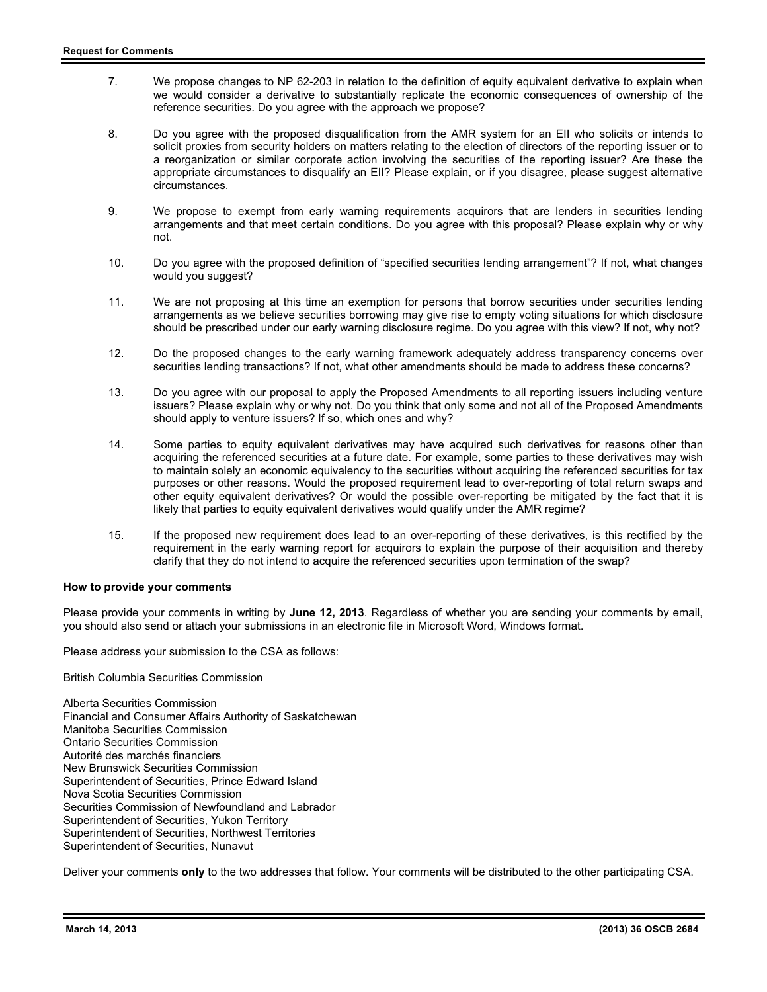- 7. We propose changes to NP 62-203 in relation to the definition of equity equivalent derivative to explain when we would consider a derivative to substantially replicate the economic consequences of ownership of the reference securities. Do you agree with the approach we propose?
- 8. Do you agree with the proposed disqualification from the AMR system for an EII who solicits or intends to solicit proxies from security holders on matters relating to the election of directors of the reporting issuer or to a reorganization or similar corporate action involving the securities of the reporting issuer? Are these the appropriate circumstances to disqualify an EII? Please explain, or if you disagree, please suggest alternative circumstances.
- 9. We propose to exempt from early warning requirements acquirors that are lenders in securities lending arrangements and that meet certain conditions. Do you agree with this proposal? Please explain why or why not.
- 10. Do you agree with the proposed definition of "specified securities lending arrangement"? If not, what changes would you suggest?
- 11. We are not proposing at this time an exemption for persons that borrow securities under securities lending arrangements as we believe securities borrowing may give rise to empty voting situations for which disclosure should be prescribed under our early warning disclosure regime. Do you agree with this view? If not, why not?
- 12. Do the proposed changes to the early warning framework adequately address transparency concerns over securities lending transactions? If not, what other amendments should be made to address these concerns?
- 13. Do you agree with our proposal to apply the Proposed Amendments to all reporting issuers including venture issuers? Please explain why or why not. Do you think that only some and not all of the Proposed Amendments should apply to venture issuers? If so, which ones and why?
- 14. Some parties to equity equivalent derivatives may have acquired such derivatives for reasons other than acquiring the referenced securities at a future date. For example, some parties to these derivatives may wish to maintain solely an economic equivalency to the securities without acquiring the referenced securities for tax purposes or other reasons. Would the proposed requirement lead to over-reporting of total return swaps and other equity equivalent derivatives? Or would the possible over-reporting be mitigated by the fact that it is likely that parties to equity equivalent derivatives would qualify under the AMR regime?
- 15. If the proposed new requirement does lead to an over-reporting of these derivatives, is this rectified by the requirement in the early warning report for acquirors to explain the purpose of their acquisition and thereby clarify that they do not intend to acquire the referenced securities upon termination of the swap?

# **How to provide your comments**

Please provide your comments in writing by **June 12, 2013**. Regardless of whether you are sending your comments by email, you should also send or attach your submissions in an electronic file in Microsoft Word, Windows format.

Please address your submission to the CSA as follows:

British Columbia Securities Commission

Alberta Securities Commission Financial and Consumer Affairs Authority of Saskatchewan Manitoba Securities Commission Ontario Securities Commission Autorité des marchés financiers New Brunswick Securities Commission Superintendent of Securities, Prince Edward Island Nova Scotia Securities Commission Securities Commission of Newfoundland and Labrador Superintendent of Securities, Yukon Territory Superintendent of Securities, Northwest Territories Superintendent of Securities, Nunavut

Deliver your comments **only** to the two addresses that follow. Your comments will be distributed to the other participating CSA.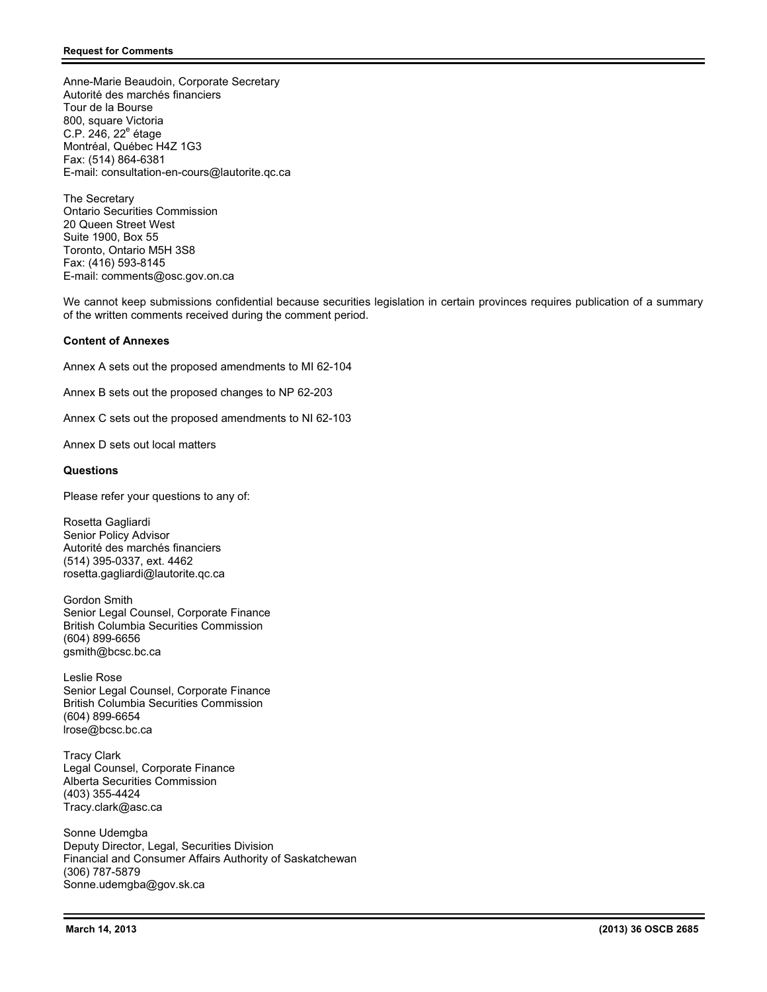Anne-Marie Beaudoin, Corporate Secretary Autorité des marchés financiers Tour de la Bourse 800, square Victoria C.P. 246, 22<sup>e</sup> étage Montréal, Québec H4Z 1G3 Fax: (514) 864-6381 E-mail: consultation-en-cours@lautorite.qc.ca

The Secretary Ontario Securities Commission 20 Queen Street West Suite 1900, Box 55 Toronto, Ontario M5H 3S8 Fax: (416) 593-8145 E-mail: comments@osc.gov.on.ca

We cannot keep submissions confidential because securities legislation in certain provinces requires publication of a summary of the written comments received during the comment period.

# **Content of Annexes**

Annex A sets out the proposed amendments to MI 62-104

Annex B sets out the proposed changes to NP 62-203

Annex C sets out the proposed amendments to NI 62-103

Annex D sets out local matters

# **Questions**

Please refer your questions to any of:

Rosetta Gagliardi Senior Policy Advisor Autorité des marchés financiers (514) 395-0337, ext. 4462 rosetta.gagliardi@lautorite.qc.ca

Gordon Smith Senior Legal Counsel, Corporate Finance British Columbia Securities Commission (604) 899-6656 gsmith@bcsc.bc.ca

Leslie Rose Senior Legal Counsel, Corporate Finance British Columbia Securities Commission (604) 899-6654 lrose@bcsc.bc.ca

Tracy Clark Legal Counsel, Corporate Finance Alberta Securities Commission (403) 355-4424 Tracy.clark@asc.ca

Sonne Udemgba Deputy Director, Legal, Securities Division Financial and Consumer Affairs Authority of Saskatchewan (306) 787-5879 Sonne.udemgba@gov.sk.ca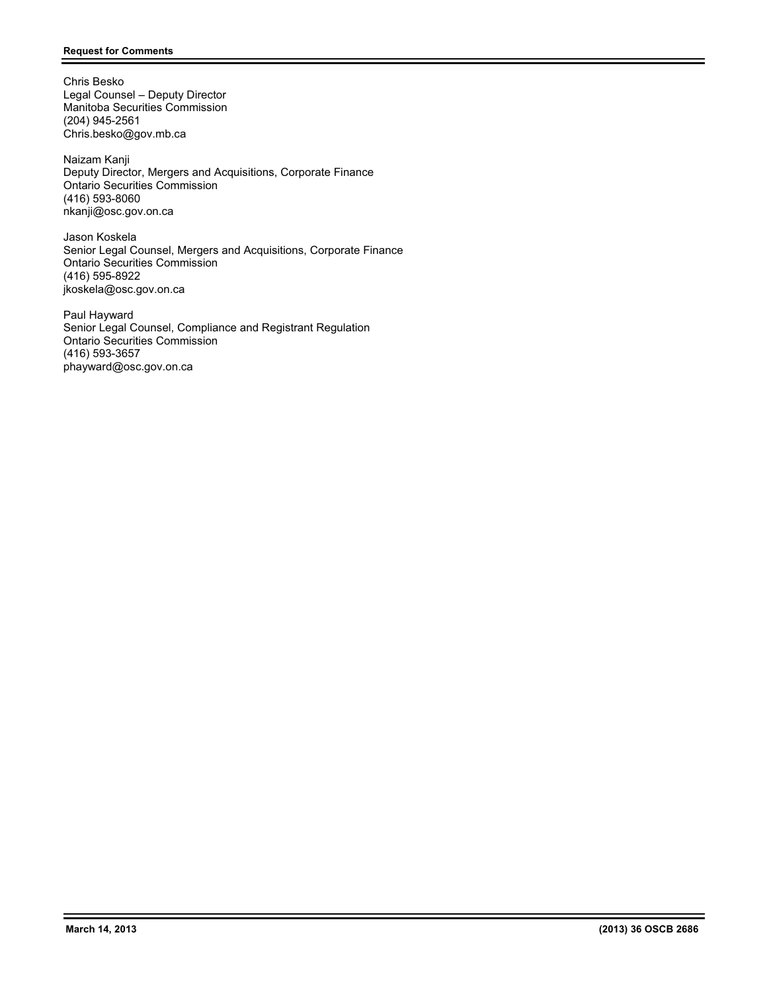Chris Besko Legal Counsel – Deputy Director Manitoba Securities Commission (204) 945-2561 Chris.besko@gov.mb.ca

Naizam Kanji Deputy Director, Mergers and Acquisitions, Corporate Finance Ontario Securities Commission (416) 593-8060 nkanji@osc.gov.on.ca

Jason Koskela Senior Legal Counsel, Mergers and Acquisitions, Corporate Finance Ontario Securities Commission (416) 595-8922 jkoskela@osc.gov.on.ca

Paul Hayward Senior Legal Counsel, Compliance and Registrant Regulation Ontario Securities Commission (416) 593-3657 phayward@osc.gov.on.ca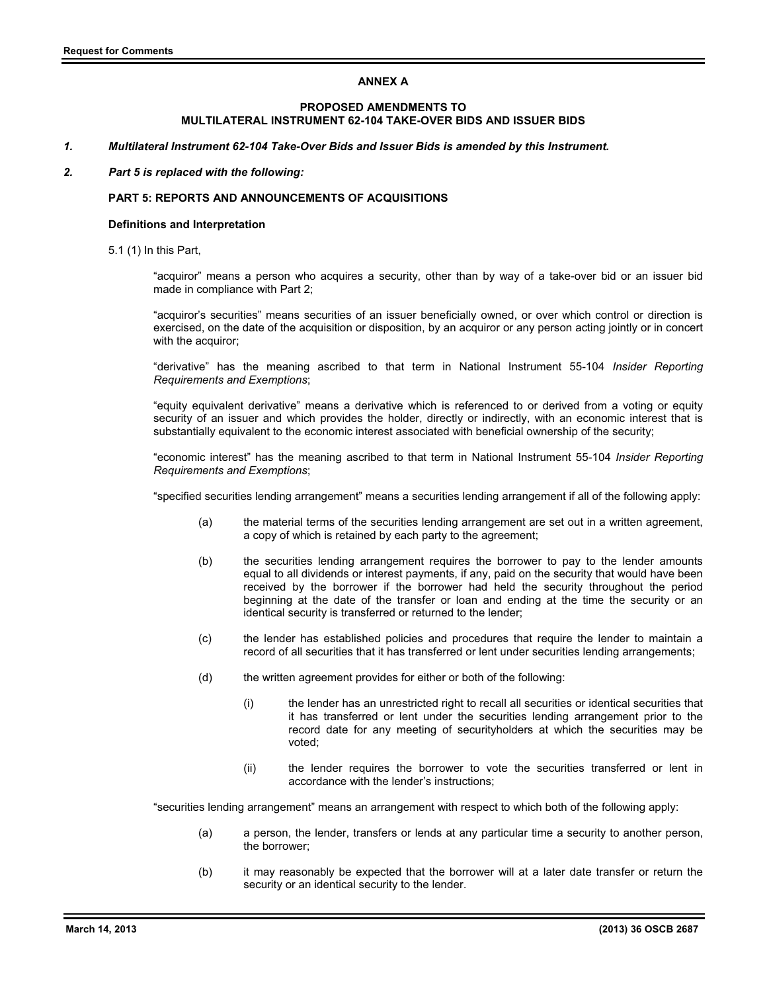# **ANNEX A**

# **PROPOSED AMENDMENTS TO MULTILATERAL INSTRUMENT 62-104 TAKE-OVER BIDS AND ISSUER BIDS**

*1. Multilateral Instrument 62-104 Take-Over Bids and Issuer Bids is amended by this Instrument.* 

### *2. Part 5 is replaced with the following:*

## **PART 5: REPORTS AND ANNOUNCEMENTS OF ACQUISITIONS**

### **Definitions and Interpretation**

5.1 (1) In this Part,

"acquiror" means a person who acquires a security, other than by way of a take-over bid or an issuer bid made in compliance with Part 2;

"acquiror's securities" means securities of an issuer beneficially owned, or over which control or direction is exercised, on the date of the acquisition or disposition, by an acquiror or any person acting jointly or in concert with the acquiror:

"derivative" has the meaning ascribed to that term in National Instrument 55-104 *Insider Reporting Requirements and Exemptions*;

"equity equivalent derivative" means a derivative which is referenced to or derived from a voting or equity security of an issuer and which provides the holder, directly or indirectly, with an economic interest that is substantially equivalent to the economic interest associated with beneficial ownership of the security;

"economic interest" has the meaning ascribed to that term in National Instrument 55-104 *Insider Reporting Requirements and Exemptions*;

"specified securities lending arrangement" means a securities lending arrangement if all of the following apply:

- (a) the material terms of the securities lending arrangement are set out in a written agreement, a copy of which is retained by each party to the agreement;
- (b) the securities lending arrangement requires the borrower to pay to the lender amounts equal to all dividends or interest payments, if any, paid on the security that would have been received by the borrower if the borrower had held the security throughout the period beginning at the date of the transfer or loan and ending at the time the security or an identical security is transferred or returned to the lender;
- (c) the lender has established policies and procedures that require the lender to maintain a record of all securities that it has transferred or lent under securities lending arrangements;
- (d) the written agreement provides for either or both of the following:
	- (i) the lender has an unrestricted right to recall all securities or identical securities that it has transferred or lent under the securities lending arrangement prior to the record date for any meeting of securityholders at which the securities may be voted;
	- (ii) the lender requires the borrower to vote the securities transferred or lent in accordance with the lender's instructions;

"securities lending arrangement" means an arrangement with respect to which both of the following apply:

- (a) a person, the lender, transfers or lends at any particular time a security to another person, the borrower;
- (b) it may reasonably be expected that the borrower will at a later date transfer or return the security or an identical security to the lender.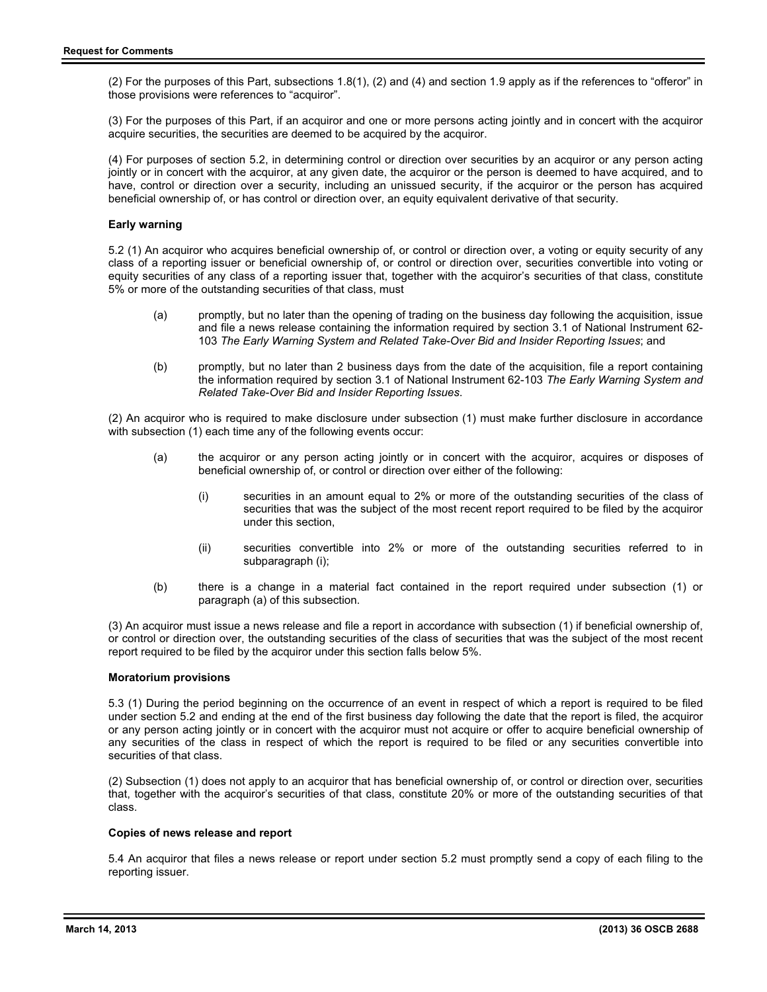(2) For the purposes of this Part, subsections 1.8(1), (2) and (4) and section 1.9 apply as if the references to "offeror" in those provisions were references to "acquiror".

(3) For the purposes of this Part, if an acquiror and one or more persons acting jointly and in concert with the acquiror acquire securities, the securities are deemed to be acquired by the acquiror.

(4) For purposes of section 5.2, in determining control or direction over securities by an acquiror or any person acting jointly or in concert with the acquiror, at any given date, the acquiror or the person is deemed to have acquired, and to have, control or direction over a security, including an unissued security, if the acquiror or the person has acquired beneficial ownership of, or has control or direction over, an equity equivalent derivative of that security.

## **Early warning**

5.2 (1) An acquiror who acquires beneficial ownership of, or control or direction over, a voting or equity security of any class of a reporting issuer or beneficial ownership of, or control or direction over, securities convertible into voting or equity securities of any class of a reporting issuer that, together with the acquiror's securities of that class, constitute 5% or more of the outstanding securities of that class, must

- (a) promptly, but no later than the opening of trading on the business day following the acquisition, issue and file a news release containing the information required by section 3.1 of National Instrument 62- 103 *The Early Warning System and Related Take-Over Bid and Insider Reporting Issues*; and
- (b) promptly, but no later than 2 business days from the date of the acquisition, file a report containing the information required by section 3.1 of National Instrument 62-103 *The Early Warning System and Related Take-Over Bid and Insider Reporting Issues*.

(2) An acquiror who is required to make disclosure under subsection (1) must make further disclosure in accordance with subsection (1) each time any of the following events occur:

- (a) the acquiror or any person acting jointly or in concert with the acquiror, acquires or disposes of beneficial ownership of, or control or direction over either of the following:
	- (i) securities in an amount equal to 2% or more of the outstanding securities of the class of securities that was the subject of the most recent report required to be filed by the acquiror under this section,
	- (ii) securities convertible into 2% or more of the outstanding securities referred to in subparagraph (i);
- (b) there is a change in a material fact contained in the report required under subsection (1) or paragraph (a) of this subsection.

(3) An acquiror must issue a news release and file a report in accordance with subsection (1) if beneficial ownership of, or control or direction over, the outstanding securities of the class of securities that was the subject of the most recent report required to be filed by the acquiror under this section falls below 5%.

#### **Moratorium provisions**

5.3 (1) During the period beginning on the occurrence of an event in respect of which a report is required to be filed under section 5.2 and ending at the end of the first business day following the date that the report is filed, the acquiror or any person acting jointly or in concert with the acquiror must not acquire or offer to acquire beneficial ownership of any securities of the class in respect of which the report is required to be filed or any securities convertible into securities of that class.

(2) Subsection (1) does not apply to an acquiror that has beneficial ownership of, or control or direction over, securities that, together with the acquiror's securities of that class, constitute 20% or more of the outstanding securities of that class.

### **Copies of news release and report**

5.4 An acquiror that files a news release or report under section 5.2 must promptly send a copy of each filing to the reporting issuer.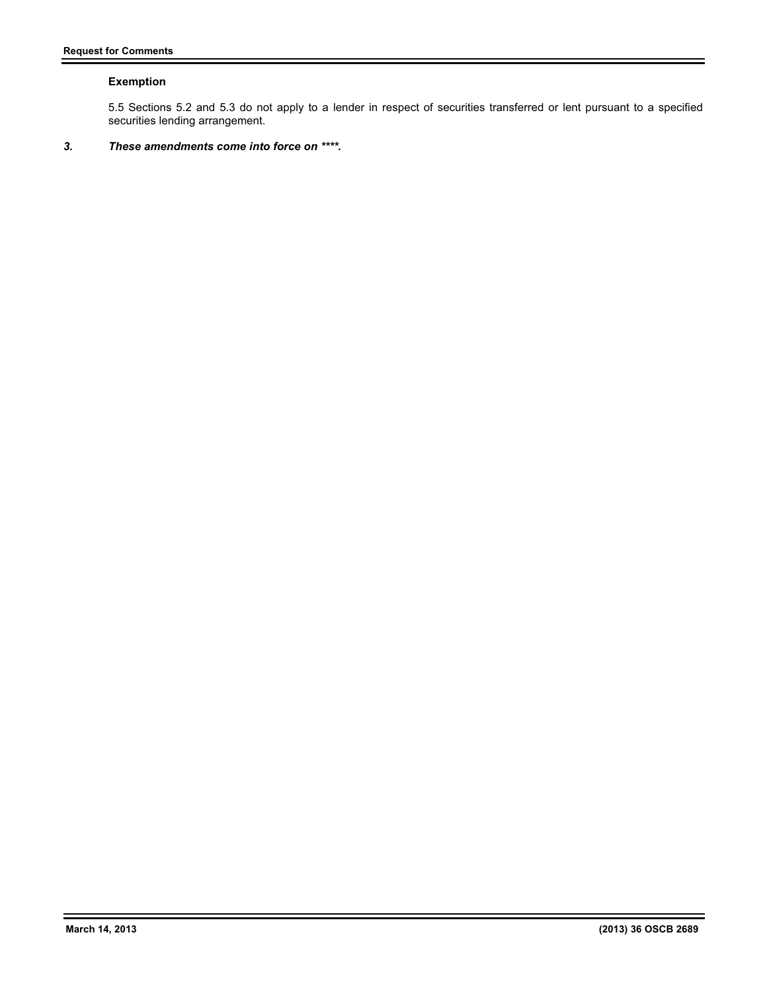# **Exemption**

5.5 Sections 5.2 and 5.3 do not apply to a lender in respect of securities transferred or lent pursuant to a specified securities lending arrangement.

# *3. These amendments come into force on \*\*\*\*.*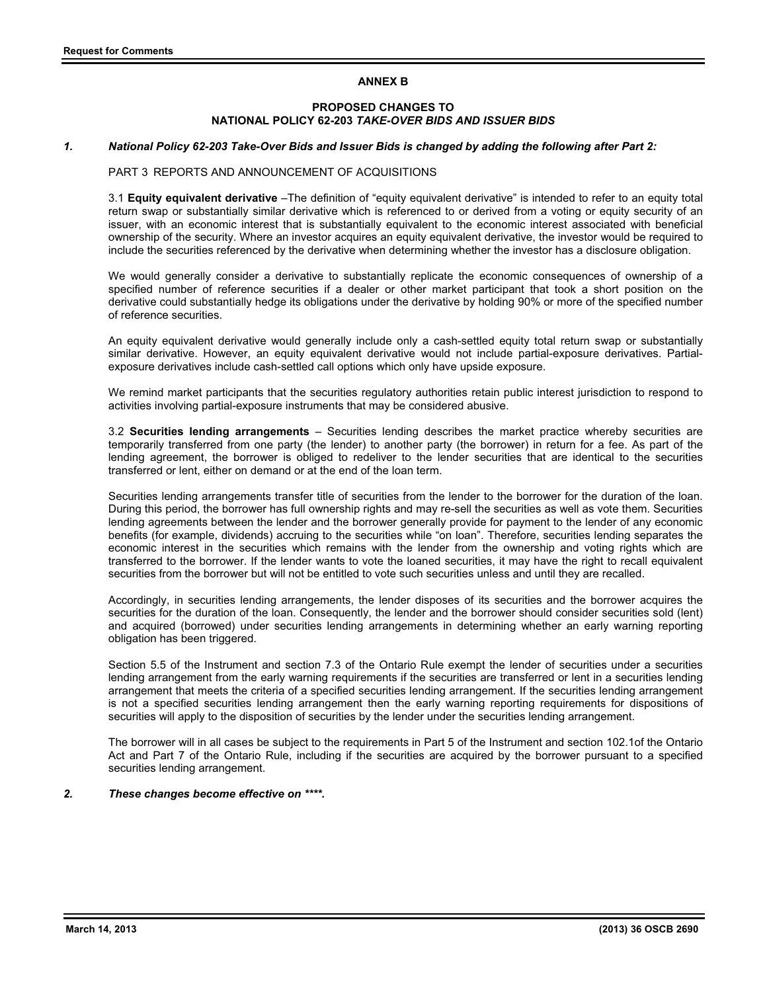# **ANNEX B**

# **PROPOSED CHANGES TO NATIONAL POLICY 62-203** *TAKE-OVER BIDS AND ISSUER BIDS*

### *1. National Policy 62-203 Take-Over Bids and Issuer Bids is changed by adding the following after Part 2:*

### PART 3 REPORTS AND ANNOUNCEMENT OF ACQUISITIONS

3.1 **Equity equivalent derivative** –The definition of "equity equivalent derivative" is intended to refer to an equity total return swap or substantially similar derivative which is referenced to or derived from a voting or equity security of an issuer, with an economic interest that is substantially equivalent to the economic interest associated with beneficial ownership of the security. Where an investor acquires an equity equivalent derivative, the investor would be required to include the securities referenced by the derivative when determining whether the investor has a disclosure obligation.

We would generally consider a derivative to substantially replicate the economic consequences of ownership of a specified number of reference securities if a dealer or other market participant that took a short position on the derivative could substantially hedge its obligations under the derivative by holding 90% or more of the specified number of reference securities.

An equity equivalent derivative would generally include only a cash-settled equity total return swap or substantially similar derivative. However, an equity equivalent derivative would not include partial-exposure derivatives. Partialexposure derivatives include cash-settled call options which only have upside exposure.

We remind market participants that the securities regulatory authorities retain public interest jurisdiction to respond to activities involving partial-exposure instruments that may be considered abusive.

3.2 **Securities lending arrangements** – Securities lending describes the market practice whereby securities are temporarily transferred from one party (the lender) to another party (the borrower) in return for a fee. As part of the lending agreement, the borrower is obliged to redeliver to the lender securities that are identical to the securities transferred or lent, either on demand or at the end of the loan term.

Securities lending arrangements transfer title of securities from the lender to the borrower for the duration of the loan. During this period, the borrower has full ownership rights and may re-sell the securities as well as vote them. Securities lending agreements between the lender and the borrower generally provide for payment to the lender of any economic benefits (for example, dividends) accruing to the securities while "on loan". Therefore, securities lending separates the economic interest in the securities which remains with the lender from the ownership and voting rights which are transferred to the borrower. If the lender wants to vote the loaned securities, it may have the right to recall equivalent securities from the borrower but will not be entitled to vote such securities unless and until they are recalled.

Accordingly, in securities lending arrangements, the lender disposes of its securities and the borrower acquires the securities for the duration of the loan. Consequently, the lender and the borrower should consider securities sold (lent) and acquired (borrowed) under securities lending arrangements in determining whether an early warning reporting obligation has been triggered.

Section 5.5 of the Instrument and section 7.3 of the Ontario Rule exempt the lender of securities under a securities lending arrangement from the early warning requirements if the securities are transferred or lent in a securities lending arrangement that meets the criteria of a specified securities lending arrangement. If the securities lending arrangement is not a specified securities lending arrangement then the early warning reporting requirements for dispositions of securities will apply to the disposition of securities by the lender under the securities lending arrangement.

The borrower will in all cases be subject to the requirements in Part 5 of the Instrument and section 102.1of the Ontario Act and Part 7 of the Ontario Rule, including if the securities are acquired by the borrower pursuant to a specified securities lending arrangement.

# *2. These changes become effective on \*\*\*\*.*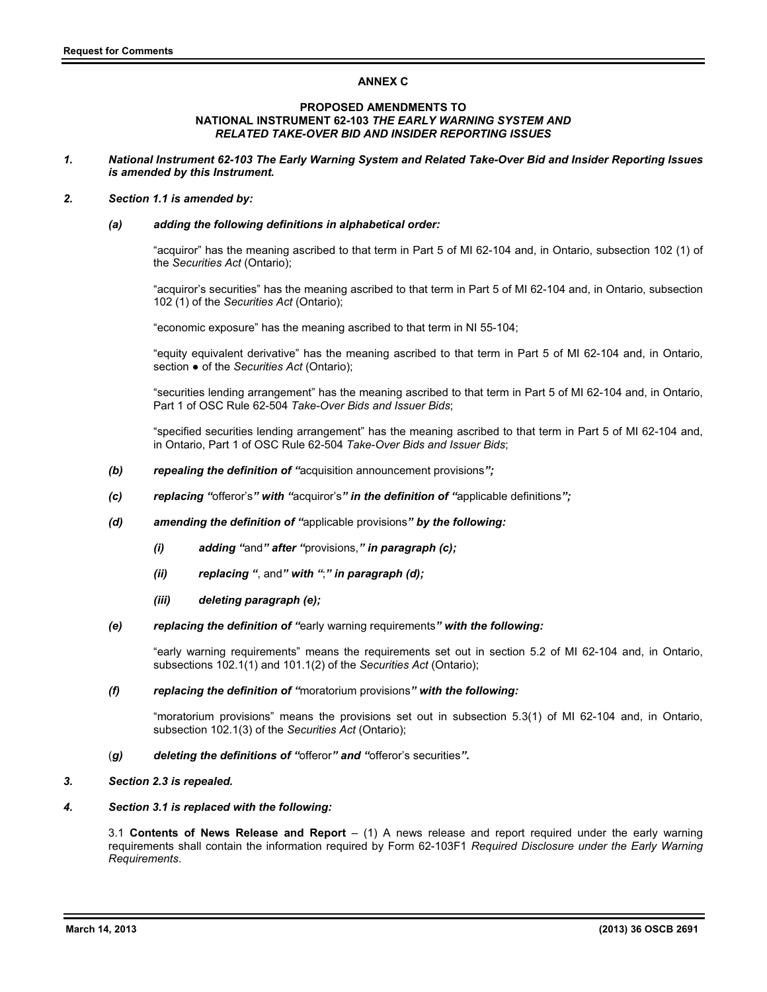# **ANNEX C**

#### **PROPOSED AMENDMENTS TO NATIONAL INSTRUMENT 62-103** *THE EARLY WARNING SYSTEM AND RELATED TAKE-OVER BID AND INSIDER REPORTING ISSUES*

*1. National Instrument 62-103 The Early Warning System and Related Take-Over Bid and Insider Reporting Issues is amended by this Instrument.* 

### *2. Section 1.1 is amended by:*

### *(a) adding the following definitions in alphabetical order:*

"acquiror" has the meaning ascribed to that term in Part 5 of MI 62-104 and, in Ontario, subsection 102 (1) of the *Securities Act* (Ontario);

"acquiror's securities" has the meaning ascribed to that term in Part 5 of MI 62-104 and, in Ontario, subsection 102 (1) of the *Securities Act* (Ontario);

"economic exposure" has the meaning ascribed to that term in NI 55-104;

"equity equivalent derivative" has the meaning ascribed to that term in Part 5 of MI 62-104 and, in Ontario, section  $\bullet$  of the *Securities Act* (Ontario);

"securities lending arrangement" has the meaning ascribed to that term in Part 5 of MI 62-104 and, in Ontario, Part 1 of OSC Rule 62-504 *Take-Over Bids and Issuer Bids*;

"specified securities lending arrangement" has the meaning ascribed to that term in Part 5 of MI 62-104 and, in Ontario, Part 1 of OSC Rule 62-504 *Take-Over Bids and Issuer Bids*;

- *(b) repealing the definition of "*acquisition announcement provisions*";*
- *(c) replacing "*offeror's*" with "*acquiror's*" in the definition of "*applicable definitions*";*
- *(d) amending the definition of "*applicable provisions*" by the following:* 
	- *(i) adding "*and*" after "*provisions,*" in paragraph (c);*
	- *(ii) replacing "*, and*" with "*;*" in paragraph (d);*
	- *(iii) deleting paragraph (e);*
- *(e) replacing the definition of "*early warning requirements*" with the following:*

"early warning requirements" means the requirements set out in section 5.2 of MI 62-104 and, in Ontario, subsections 102.1(1) and 101.1(2) of the *Securities Act* (Ontario);

#### *(f) replacing the definition of "*moratorium provisions*" with the following:*

"moratorium provisions" means the provisions set out in subsection 5.3(1) of MI 62-104 and, in Ontario, subsection 102.1(3) of the *Securities Act* (Ontario);

- (*g) deleting the definitions of "*offeror*" and "*offeror's securities*".*
- *3. Section 2.3 is repealed.*

### *4. Section 3.1 is replaced with the following:*

3.1 **Contents of News Release and Report** – (1) A news release and report required under the early warning requirements shall contain the information required by Form 62-103F1 *Required Disclosure under the Early Warning Requirements*.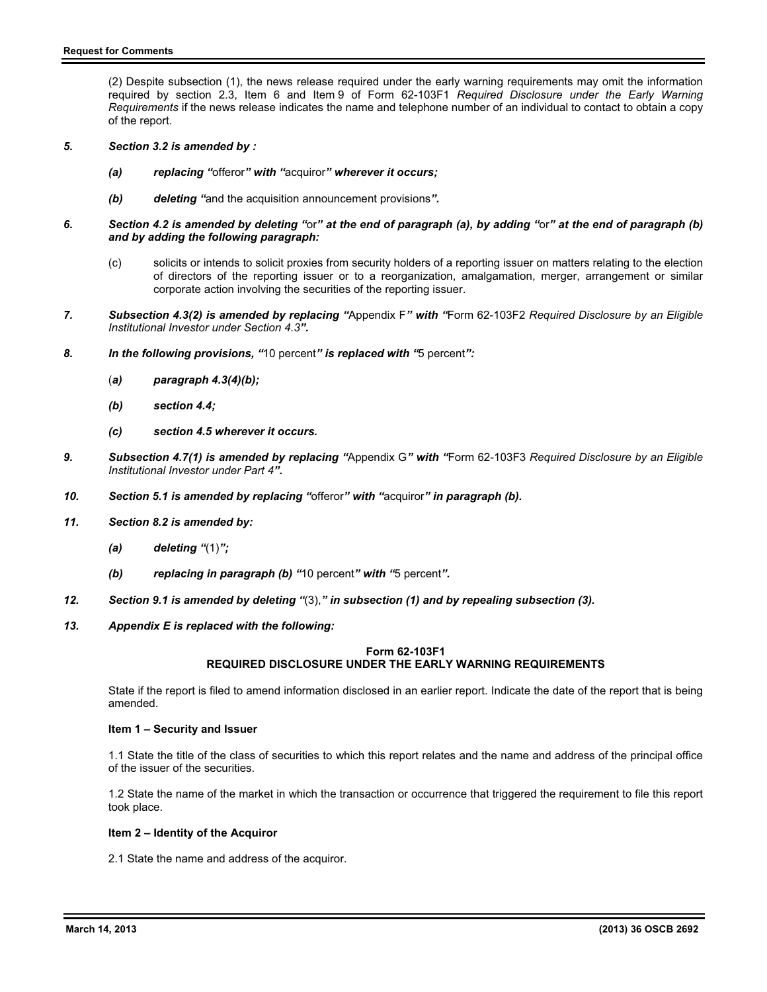(2) Despite subsection (1), the news release required under the early warning requirements may omit the information required by section 2.3, Item 6 and Item 9 of Form 62-103F1 *Required Disclosure under the Early Warning Requirements* if the news release indicates the name and telephone number of an individual to contact to obtain a copy of the report.

- *5. Section 3.2 is amended by :* 
	- *(a) replacing "*offeror*" with "*acquiror*" wherever it occurs;*
	- *(b) deleting "*and the acquisition announcement provisions*".*
- *6. Section 4.2 is amended by deleting "*or*" at the end of paragraph (a), by adding "*or*" at the end of paragraph (b) and by adding the following paragraph:* 
	- (c) solicits or intends to solicit proxies from security holders of a reporting issuer on matters relating to the election of directors of the reporting issuer or to a reorganization, amalgamation, merger, arrangement or similar corporate action involving the securities of the reporting issuer.
- *7. Subsection 4.3(2) is amended by replacing "*Appendix F*" with "*Form 62-103F2 *Required Disclosure by an Eligible Institutional Investor under Section 4.3".*
- *8. In the following provisions, "*10 percent*" is replaced with "*5 percent*":* 
	- (*a) paragraph 4.3(4)(b);*
	- *(b) section 4.4;*
	- *(c) section 4.5 wherever it occurs.*
- *9. Subsection 4.7(1) is amended by replacing "*Appendix G*" with "*Form 62-103F3 *Required Disclosure by an Eligible Institutional Investor under Part 4".*
- *10. Section 5.1 is amended by replacing "*offeror*" with "*acquiror*" in paragraph (b).*
- *11. Section 8.2 is amended by:* 
	- *(a) deleting "*(1)*";*
	- *(b) replacing in paragraph (b) "*10 percent*" with "*5 percent*".*
- *12. Section 9.1 is amended by deleting "*(3),*" in subsection (1) and by repealing subsection (3).*
- *13. Appendix E is replaced with the following:*

# **Form 62-103F1 REQUIRED DISCLOSURE UNDER THE EARLY WARNING REQUIREMENTS**

State if the report is filed to amend information disclosed in an earlier report. Indicate the date of the report that is being amended.

### **Item 1 – Security and Issuer**

1.1 State the title of the class of securities to which this report relates and the name and address of the principal office of the issuer of the securities.

1.2 State the name of the market in which the transaction or occurrence that triggered the requirement to file this report took place.

### **Item 2 – Identity of the Acquiror**

2.1 State the name and address of the acquiror.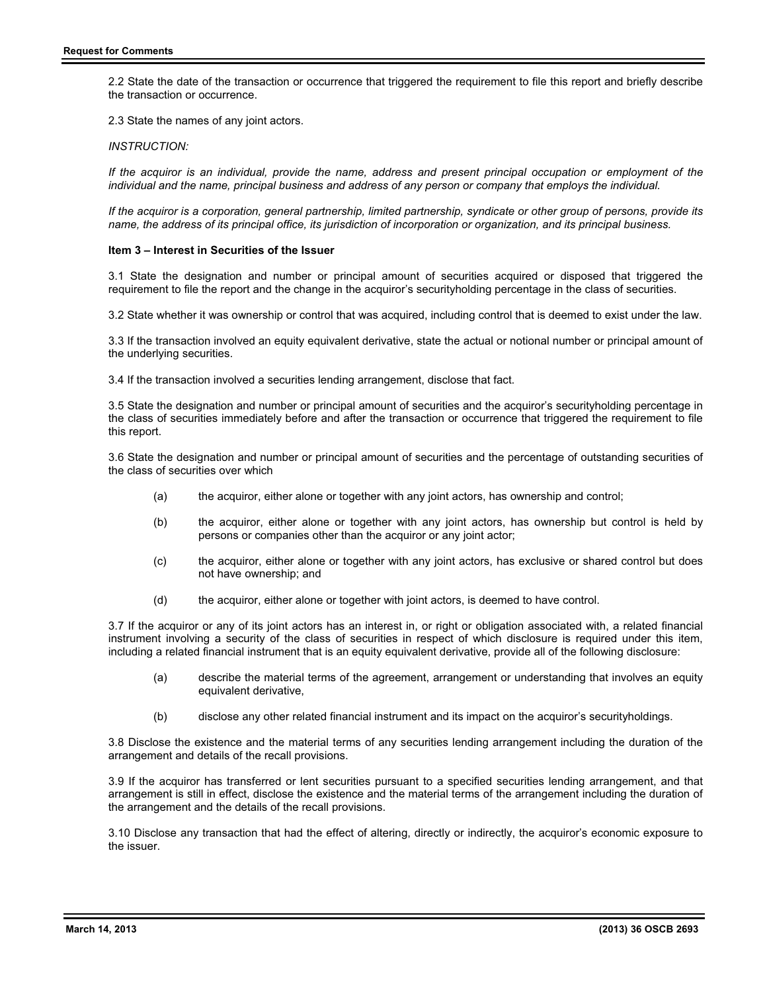2.2 State the date of the transaction or occurrence that triggered the requirement to file this report and briefly describe the transaction or occurrence.

2.3 State the names of any joint actors.

*INSTRUCTION:*

*If the acquiror is an individual, provide the name, address and present principal occupation or employment of the individual and the name, principal business and address of any person or company that employs the individual.* 

*If the acquiror is a corporation, general partnership, limited partnership, syndicate or other group of persons, provide its name, the address of its principal office, its jurisdiction of incorporation or organization, and its principal business.* 

#### **Item 3 – Interest in Securities of the Issuer**

3.1 State the designation and number or principal amount of securities acquired or disposed that triggered the requirement to file the report and the change in the acquiror's securityholding percentage in the class of securities.

3.2 State whether it was ownership or control that was acquired, including control that is deemed to exist under the law.

3.3 If the transaction involved an equity equivalent derivative, state the actual or notional number or principal amount of the underlying securities.

3.4 If the transaction involved a securities lending arrangement, disclose that fact.

3.5 State the designation and number or principal amount of securities and the acquiror's securityholding percentage in the class of securities immediately before and after the transaction or occurrence that triggered the requirement to file this report.

3.6 State the designation and number or principal amount of securities and the percentage of outstanding securities of the class of securities over which

- (a) the acquiror, either alone or together with any joint actors, has ownership and control;
- (b) the acquiror, either alone or together with any joint actors, has ownership but control is held by persons or companies other than the acquiror or any joint actor;
- (c) the acquiror, either alone or together with any joint actors, has exclusive or shared control but does not have ownership; and
- (d) the acquiror, either alone or together with joint actors, is deemed to have control.

3.7 If the acquiror or any of its joint actors has an interest in, or right or obligation associated with, a related financial instrument involving a security of the class of securities in respect of which disclosure is required under this item, including a related financial instrument that is an equity equivalent derivative, provide all of the following disclosure:

- (a) describe the material terms of the agreement, arrangement or understanding that involves an equity equivalent derivative,
- (b) disclose any other related financial instrument and its impact on the acquiror's securityholdings.

3.8 Disclose the existence and the material terms of any securities lending arrangement including the duration of the arrangement and details of the recall provisions.

3.9 If the acquiror has transferred or lent securities pursuant to a specified securities lending arrangement, and that arrangement is still in effect, disclose the existence and the material terms of the arrangement including the duration of the arrangement and the details of the recall provisions.

3.10 Disclose any transaction that had the effect of altering, directly or indirectly, the acquiror's economic exposure to the issuer.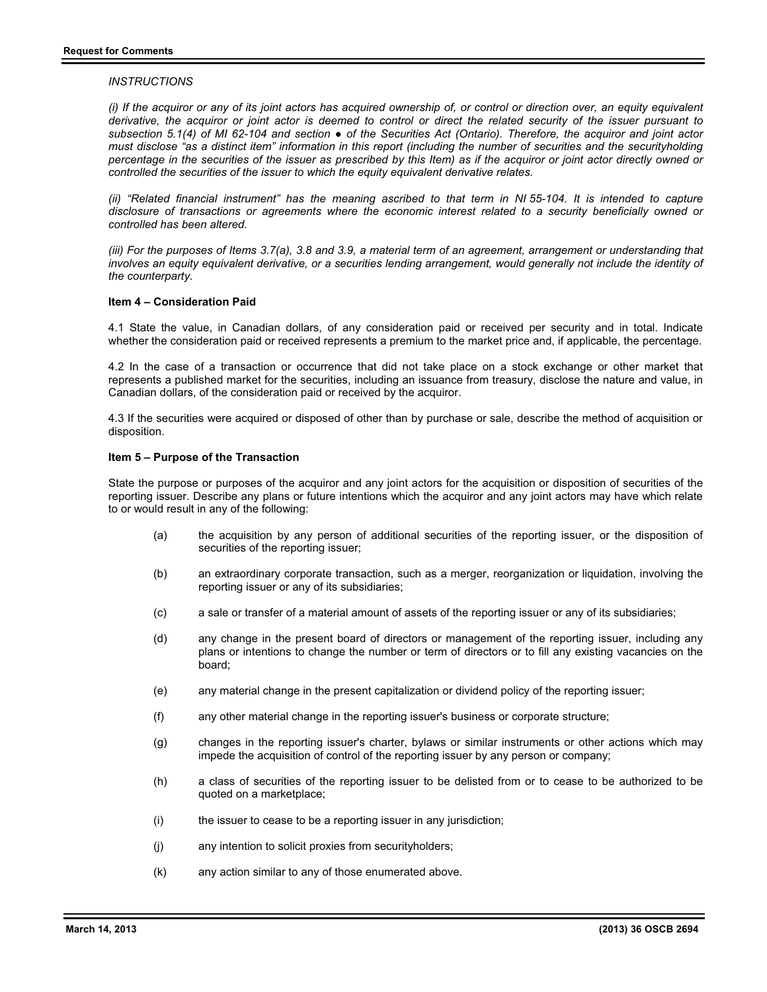### *INSTRUCTIONS*

*(i) If the acquiror or any of its joint actors has acquired ownership of, or control or direction over, an equity equivalent derivative, the acquiror or joint actor is deemed to control or direct the related security of the issuer pursuant to*  subsection 5.1(4) of MI 62-104 and section ● of the Securities Act (Ontario). Therefore, the acquiror and joint actor *must disclose "as a distinct item" information in this report (including the number of securities and the securityholding percentage in the securities of the issuer as prescribed by this Item) as if the acquiror or joint actor directly owned or controlled the securities of the issuer to which the equity equivalent derivative relates.* 

*(ii)* "Related financial instrument" has the meaning ascribed to that term in NI 55-104. It is intended to capture *disclosure of transactions or agreements where the economic interest related to a security beneficially owned or controlled has been altered.* 

*(iii) For the purposes of Items 3.7(a), 3.8 and 3.9, a material term of an agreement, arrangement or understanding that*  involves an equity equivalent derivative, or a securities lending arrangement, would generally not include the identity of *the counterparty.*

## **Item 4 – Consideration Paid**

4.1 State the value, in Canadian dollars, of any consideration paid or received per security and in total. Indicate whether the consideration paid or received represents a premium to the market price and, if applicable, the percentage.

4.2 In the case of a transaction or occurrence that did not take place on a stock exchange or other market that represents a published market for the securities, including an issuance from treasury, disclose the nature and value, in Canadian dollars, of the consideration paid or received by the acquiror.

4.3 If the securities were acquired or disposed of other than by purchase or sale, describe the method of acquisition or disposition.

#### **Item 5 – Purpose of the Transaction**

State the purpose or purposes of the acquiror and any joint actors for the acquisition or disposition of securities of the reporting issuer. Describe any plans or future intentions which the acquiror and any joint actors may have which relate to or would result in any of the following:

- (a) the acquisition by any person of additional securities of the reporting issuer, or the disposition of securities of the reporting issuer;
- (b) an extraordinary corporate transaction, such as a merger, reorganization or liquidation, involving the reporting issuer or any of its subsidiaries;
- (c) a sale or transfer of a material amount of assets of the reporting issuer or any of its subsidiaries;
- (d) any change in the present board of directors or management of the reporting issuer, including any plans or intentions to change the number or term of directors or to fill any existing vacancies on the board;
- (e) any material change in the present capitalization or dividend policy of the reporting issuer;
- (f) any other material change in the reporting issuer's business or corporate structure;
- (g) changes in the reporting issuer's charter, bylaws or similar instruments or other actions which may impede the acquisition of control of the reporting issuer by any person or company;
- (h) a class of securities of the reporting issuer to be delisted from or to cease to be authorized to be quoted on a marketplace;
- (i) the issuer to cease to be a reporting issuer in any jurisdiction;
- (j) any intention to solicit proxies from securityholders;
- (k) any action similar to any of those enumerated above.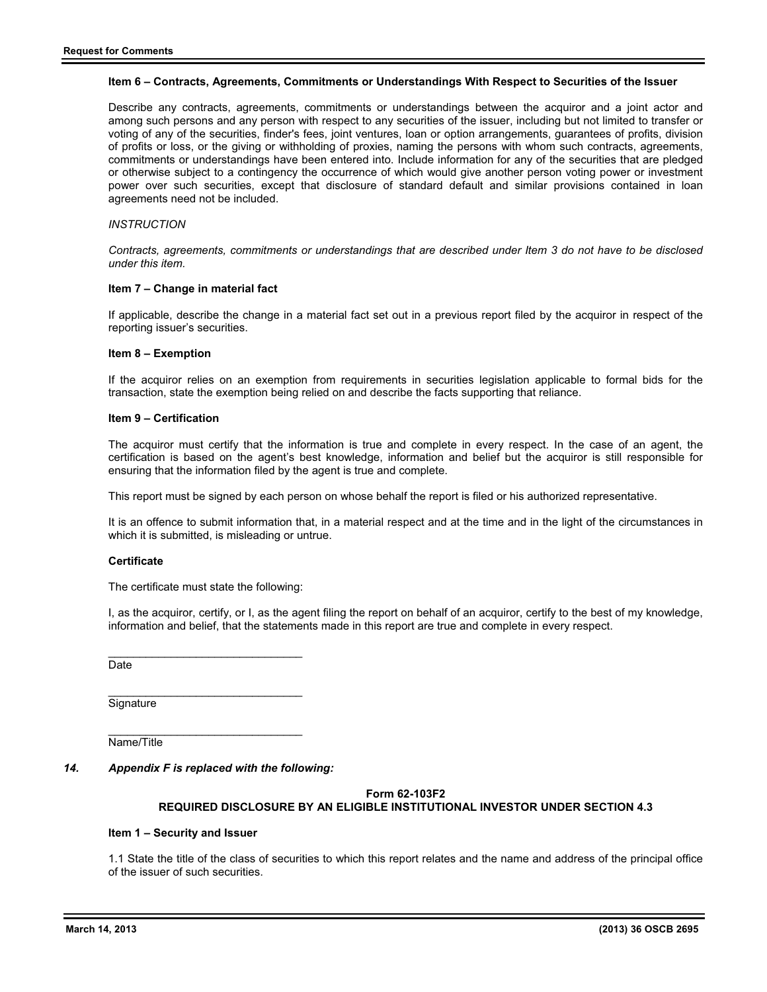#### **Item 6 – Contracts, Agreements, Commitments or Understandings With Respect to Securities of the Issuer**

Describe any contracts, agreements, commitments or understandings between the acquiror and a joint actor and among such persons and any person with respect to any securities of the issuer, including but not limited to transfer or voting of any of the securities, finder's fees, joint ventures, loan or option arrangements, guarantees of profits, division of profits or loss, or the giving or withholding of proxies, naming the persons with whom such contracts, agreements, commitments or understandings have been entered into. Include information for any of the securities that are pledged or otherwise subject to a contingency the occurrence of which would give another person voting power or investment power over such securities, except that disclosure of standard default and similar provisions contained in loan agreements need not be included.

## *INSTRUCTION*

*Contracts, agreements, commitments or understandings that are described under Item 3 do not have to be disclosed under this item.* 

#### **Item 7 – Change in material fact**

If applicable, describe the change in a material fact set out in a previous report filed by the acquiror in respect of the reporting issuer's securities.

#### **Item 8 – Exemption**

If the acquiror relies on an exemption from requirements in securities legislation applicable to formal bids for the transaction, state the exemption being relied on and describe the facts supporting that reliance.

#### **Item 9 – Certification**

The acquiror must certify that the information is true and complete in every respect. In the case of an agent, the certification is based on the agent's best knowledge, information and belief but the acquiror is still responsible for ensuring that the information filed by the agent is true and complete.

This report must be signed by each person on whose behalf the report is filed or his authorized representative.

It is an offence to submit information that, in a material respect and at the time and in the light of the circumstances in which it is submitted, is misleading or untrue.

#### **Certificate**

The certificate must state the following:

 $\overline{\phantom{a}}$  , and the set of the set of the set of the set of the set of the set of the set of the set of the set of the set of the set of the set of the set of the set of the set of the set of the set of the set of the s

I, as the acquiror, certify, or I, as the agent filing the report on behalf of an acquiror, certify to the best of my knowledge, information and belief, that the statements made in this report are true and complete in every respect.

**Date** 

 $\overline{\phantom{a}}$  , and the set of the set of the set of the set of the set of the set of the set of the set of the set of the set of the set of the set of the set of the set of the set of the set of the set of the set of the s **Signature** 

\_\_\_\_\_\_\_\_\_\_\_\_\_\_\_\_\_\_\_\_\_\_\_\_\_\_\_\_\_\_\_ Name/Title

*14. Appendix F is replaced with the following:* 

# **Form 62-103F2**

# **REQUIRED DISCLOSURE BY AN ELIGIBLE INSTITUTIONAL INVESTOR UNDER SECTION 4.3**

#### **Item 1 – Security and Issuer**

1.1 State the title of the class of securities to which this report relates and the name and address of the principal office of the issuer of such securities.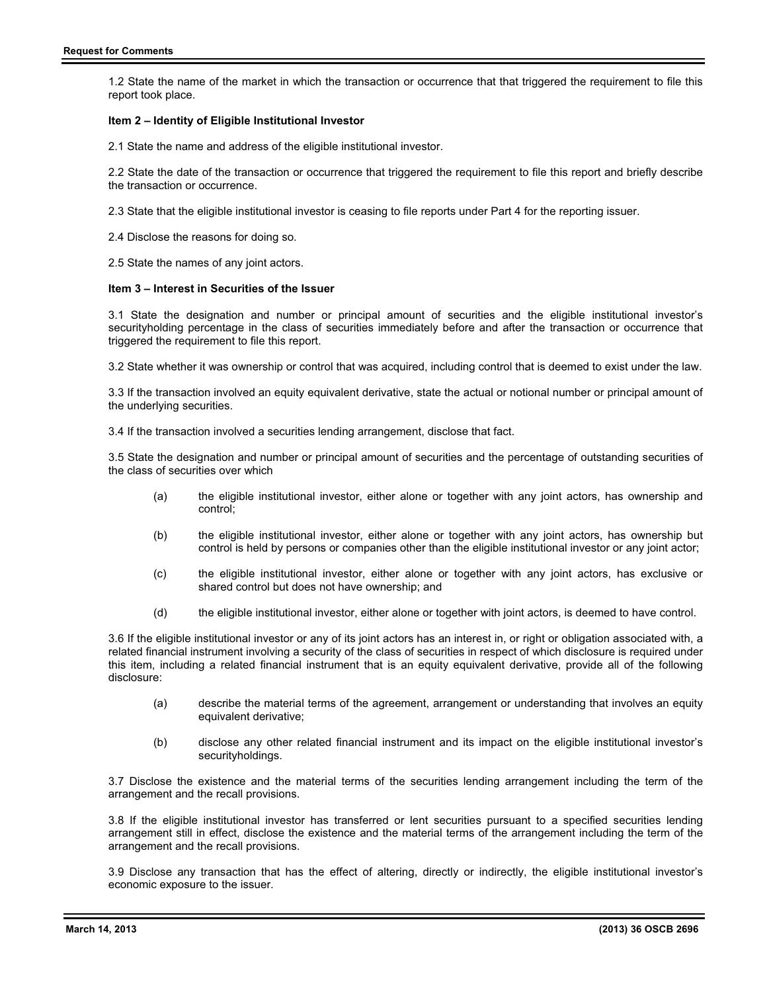1.2 State the name of the market in which the transaction or occurrence that that triggered the requirement to file this report took place.

### **Item 2 – Identity of Eligible Institutional Investor**

2.1 State the name and address of the eligible institutional investor.

2.2 State the date of the transaction or occurrence that triggered the requirement to file this report and briefly describe the transaction or occurrence.

2.3 State that the eligible institutional investor is ceasing to file reports under Part 4 for the reporting issuer.

2.4 Disclose the reasons for doing so.

2.5 State the names of any joint actors.

# **Item 3 – Interest in Securities of the Issuer**

3.1 State the designation and number or principal amount of securities and the eligible institutional investor's securityholding percentage in the class of securities immediately before and after the transaction or occurrence that triggered the requirement to file this report.

3.2 State whether it was ownership or control that was acquired, including control that is deemed to exist under the law.

3.3 If the transaction involved an equity equivalent derivative, state the actual or notional number or principal amount of the underlying securities.

3.4 If the transaction involved a securities lending arrangement, disclose that fact.

3.5 State the designation and number or principal amount of securities and the percentage of outstanding securities of the class of securities over which

- (a) the eligible institutional investor, either alone or together with any joint actors, has ownership and control;
- (b) the eligible institutional investor, either alone or together with any joint actors, has ownership but control is held by persons or companies other than the eligible institutional investor or any joint actor;
- (c) the eligible institutional investor, either alone or together with any joint actors, has exclusive or shared control but does not have ownership; and
- (d) the eligible institutional investor, either alone or together with joint actors, is deemed to have control.

3.6 If the eligible institutional investor or any of its joint actors has an interest in, or right or obligation associated with, a related financial instrument involving a security of the class of securities in respect of which disclosure is required under this item, including a related financial instrument that is an equity equivalent derivative, provide all of the following disclosure:

- (a) describe the material terms of the agreement, arrangement or understanding that involves an equity equivalent derivative;
- (b) disclose any other related financial instrument and its impact on the eligible institutional investor's securityholdings.

3.7 Disclose the existence and the material terms of the securities lending arrangement including the term of the arrangement and the recall provisions.

3.8 If the eligible institutional investor has transferred or lent securities pursuant to a specified securities lending arrangement still in effect, disclose the existence and the material terms of the arrangement including the term of the arrangement and the recall provisions.

3.9 Disclose any transaction that has the effect of altering, directly or indirectly, the eligible institutional investor's economic exposure to the issuer.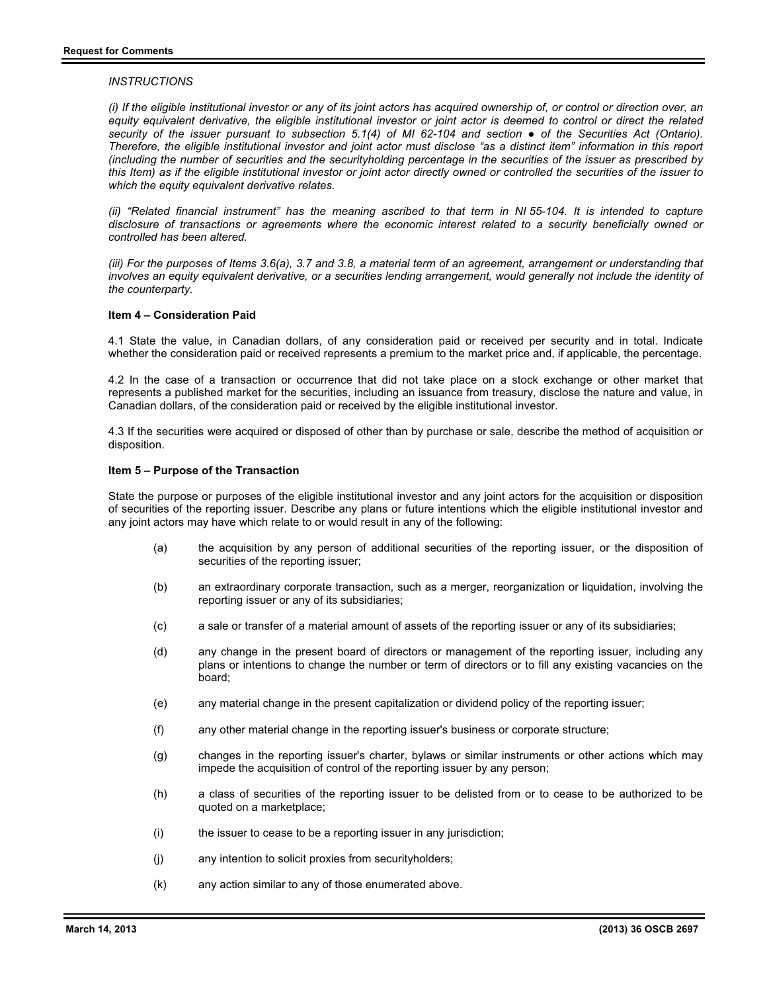### *INSTRUCTIONS*

*(i) If the eligible institutional investor or any of its joint actors has acquired ownership of, or control or direction over, an equity equivalent derivative, the eligible institutional investor or joint actor is deemed to control or direct the related*  security of the issuer pursuant to subsection 5.1(4) of MI 62-104 and section • of the Securities Act (Ontario). *Therefore, the eligible institutional investor and joint actor must disclose "as a distinct item" information in this report (including the number of securities and the securityholding percentage in the securities of the issuer as prescribed by this Item) as if the eligible institutional investor or joint actor directly owned or controlled the securities of the issuer to which the equity equivalent derivative relates.* 

*(ii)* "Related financial instrument" has the meaning ascribed to that term in NI 55-104. It is intended to capture *disclosure of transactions or agreements where the economic interest related to a security beneficially owned or controlled has been altered.* 

*(iii) For the purposes of Items 3.6(a), 3.7 and 3.8, a material term of an agreement, arrangement or understanding that involves an equity equivalent derivative, or a securities lending arrangement, would generally not include the identity of the counterparty.* 

#### **Item 4 – Consideration Paid**

4.1 State the value, in Canadian dollars, of any consideration paid or received per security and in total. Indicate whether the consideration paid or received represents a premium to the market price and, if applicable, the percentage.

4.2 In the case of a transaction or occurrence that did not take place on a stock exchange or other market that represents a published market for the securities, including an issuance from treasury, disclose the nature and value, in Canadian dollars, of the consideration paid or received by the eligible institutional investor.

4.3 If the securities were acquired or disposed of other than by purchase or sale, describe the method of acquisition or disposition.

#### **Item 5 – Purpose of the Transaction**

State the purpose or purposes of the eligible institutional investor and any joint actors for the acquisition or disposition of securities of the reporting issuer. Describe any plans or future intentions which the eligible institutional investor and any joint actors may have which relate to or would result in any of the following:

- (a) the acquisition by any person of additional securities of the reporting issuer, or the disposition of securities of the reporting issuer;
- (b) an extraordinary corporate transaction, such as a merger, reorganization or liquidation, involving the reporting issuer or any of its subsidiaries;
- (c) a sale or transfer of a material amount of assets of the reporting issuer or any of its subsidiaries;
- (d) any change in the present board of directors or management of the reporting issuer, including any plans or intentions to change the number or term of directors or to fill any existing vacancies on the board;
- (e) any material change in the present capitalization or dividend policy of the reporting issuer;
- (f) any other material change in the reporting issuer's business or corporate structure;
- (g) changes in the reporting issuer's charter, bylaws or similar instruments or other actions which may impede the acquisition of control of the reporting issuer by any person;
- (h) a class of securities of the reporting issuer to be delisted from or to cease to be authorized to be quoted on a marketplace;
- (i) the issuer to cease to be a reporting issuer in any jurisdiction;
- (j) any intention to solicit proxies from securityholders;
- (k) any action similar to any of those enumerated above.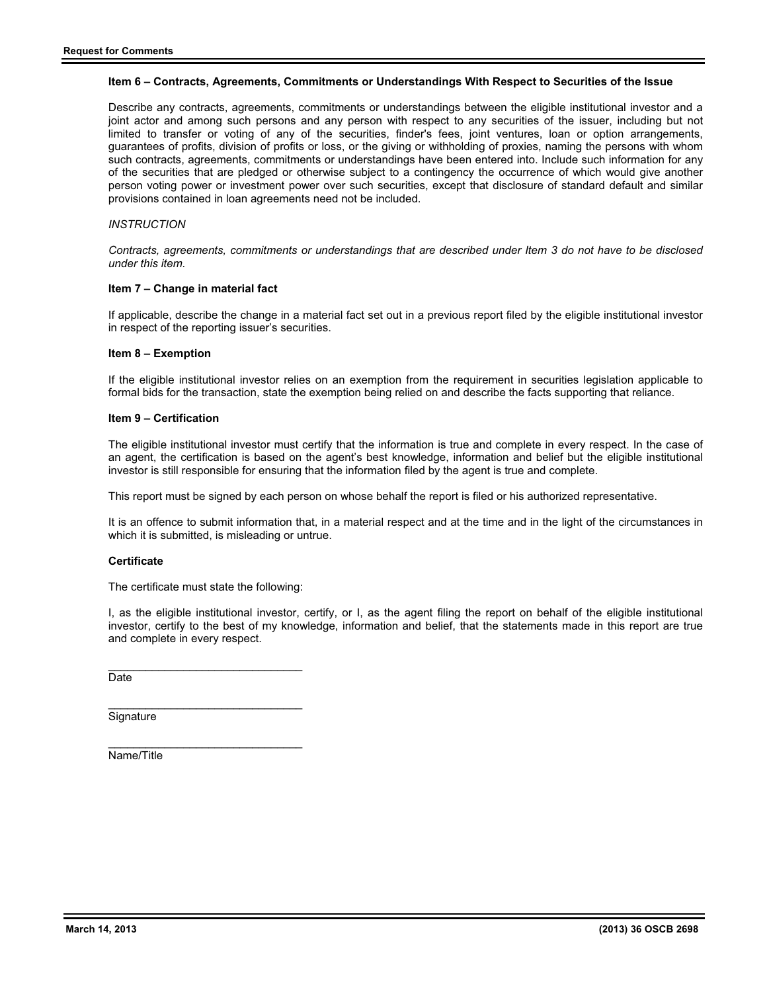### **Item 6 – Contracts, Agreements, Commitments or Understandings With Respect to Securities of the Issue**

Describe any contracts, agreements, commitments or understandings between the eligible institutional investor and a joint actor and among such persons and any person with respect to any securities of the issuer, including but not limited to transfer or voting of any of the securities, finder's fees, joint ventures, loan or option arrangements, guarantees of profits, division of profits or loss, or the giving or withholding of proxies, naming the persons with whom such contracts, agreements, commitments or understandings have been entered into. Include such information for any of the securities that are pledged or otherwise subject to a contingency the occurrence of which would give another person voting power or investment power over such securities, except that disclosure of standard default and similar provisions contained in loan agreements need not be included.

## *INSTRUCTION*

*Contracts, agreements, commitments or understandings that are described under Item 3 do not have to be disclosed under this item.* 

#### **Item 7 – Change in material fact**

If applicable, describe the change in a material fact set out in a previous report filed by the eligible institutional investor in respect of the reporting issuer's securities.

### **Item 8 – Exemption**

If the eligible institutional investor relies on an exemption from the requirement in securities legislation applicable to formal bids for the transaction, state the exemption being relied on and describe the facts supporting that reliance.

#### **Item 9 – Certification**

The eligible institutional investor must certify that the information is true and complete in every respect. In the case of an agent, the certification is based on the agent's best knowledge, information and belief but the eligible institutional investor is still responsible for ensuring that the information filed by the agent is true and complete.

This report must be signed by each person on whose behalf the report is filed or his authorized representative.

It is an offence to submit information that, in a material respect and at the time and in the light of the circumstances in which it is submitted, is misleading or untrue.

# **Certificate**

The certificate must state the following:

 $\overline{\phantom{a}}$  , and the set of the set of the set of the set of the set of the set of the set of the set of the set of the set of the set of the set of the set of the set of the set of the set of the set of the set of the s

I, as the eligible institutional investor, certify, or I, as the agent filing the report on behalf of the eligible institutional investor, certify to the best of my knowledge, information and belief, that the statements made in this report are true and complete in every respect.

\_\_\_\_\_\_\_\_\_\_\_\_\_\_\_\_\_\_\_\_\_\_\_\_\_\_\_\_\_\_\_ Date

**Signature** 

 $\overline{\phantom{a}}$  , and the set of the set of the set of the set of the set of the set of the set of the set of the set of the set of the set of the set of the set of the set of the set of the set of the set of the set of the s Name/Title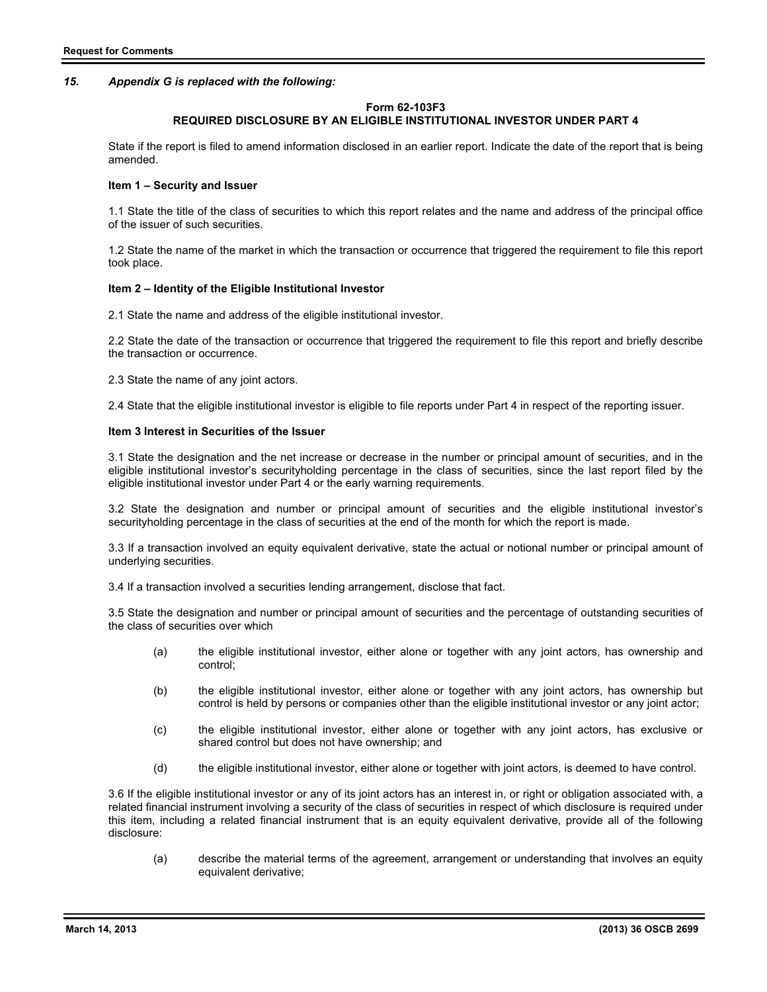## *15. Appendix G is replaced with the following:*

### **Form 62-103F3**

# **REQUIRED DISCLOSURE BY AN ELIGIBLE INSTITUTIONAL INVESTOR UNDER PART 4**

State if the report is filed to amend information disclosed in an earlier report. Indicate the date of the report that is being amended.

#### **Item 1 – Security and Issuer**

1.1 State the title of the class of securities to which this report relates and the name and address of the principal office of the issuer of such securities.

1.2 State the name of the market in which the transaction or occurrence that triggered the requirement to file this report took place.

#### **Item 2 – Identity of the Eligible Institutional Investor**

2.1 State the name and address of the eligible institutional investor.

2.2 State the date of the transaction or occurrence that triggered the requirement to file this report and briefly describe the transaction or occurrence.

2.3 State the name of any joint actors.

2.4 State that the eligible institutional investor is eligible to file reports under Part 4 in respect of the reporting issuer.

#### **Item 3 Interest in Securities of the Issuer**

3.1 State the designation and the net increase or decrease in the number or principal amount of securities, and in the eligible institutional investor's securityholding percentage in the class of securities, since the last report filed by the eligible institutional investor under Part 4 or the early warning requirements.

3.2 State the designation and number or principal amount of securities and the eligible institutional investor's securityholding percentage in the class of securities at the end of the month for which the report is made.

3.3 If a transaction involved an equity equivalent derivative, state the actual or notional number or principal amount of underlying securities.

3.4 If a transaction involved a securities lending arrangement, disclose that fact.

3.5 State the designation and number or principal amount of securities and the percentage of outstanding securities of the class of securities over which

- (a) the eligible institutional investor, either alone or together with any joint actors, has ownership and control;
- (b) the eligible institutional investor, either alone or together with any joint actors, has ownership but control is held by persons or companies other than the eligible institutional investor or any joint actor;
- (c) the eligible institutional investor, either alone or together with any joint actors, has exclusive or shared control but does not have ownership; and
- (d) the eligible institutional investor, either alone or together with joint actors, is deemed to have control.

3.6 If the eligible institutional investor or any of its joint actors has an interest in, or right or obligation associated with, a related financial instrument involving a security of the class of securities in respect of which disclosure is required under this item, including a related financial instrument that is an equity equivalent derivative, provide all of the following disclosure:

(a) describe the material terms of the agreement, arrangement or understanding that involves an equity equivalent derivative;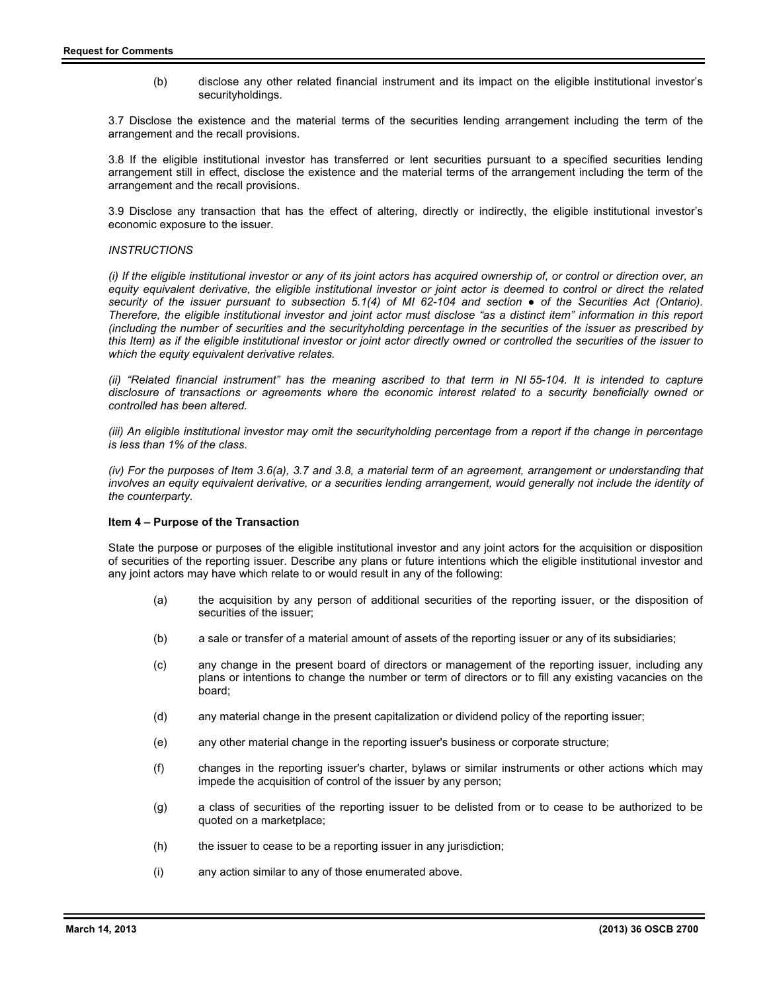(b) disclose any other related financial instrument and its impact on the eligible institutional investor's securityholdings.

3.7 Disclose the existence and the material terms of the securities lending arrangement including the term of the arrangement and the recall provisions.

3.8 If the eligible institutional investor has transferred or lent securities pursuant to a specified securities lending arrangement still in effect, disclose the existence and the material terms of the arrangement including the term of the arrangement and the recall provisions.

3.9 Disclose any transaction that has the effect of altering, directly or indirectly, the eligible institutional investor's economic exposure to the issuer.

### *INSTRUCTIONS*

*(i) If the eligible institutional investor or any of its joint actors has acquired ownership of, or control or direction over, an equity equivalent derivative, the eligible institutional investor or joint actor is deemed to control or direct the related*  security of the issuer pursuant to subsection 5.1(4) of MI 62-104 and section • of the Securities Act (Ontario). *Therefore, the eligible institutional investor and joint actor must disclose "as a distinct item" information in this report (including the number of securities and the securityholding percentage in the securities of the issuer as prescribed by this Item) as if the eligible institutional investor or joint actor directly owned or controlled the securities of the issuer to which the equity equivalent derivative relates.* 

*(ii)* "Related financial instrument" has the meaning ascribed to that term in NI 55-104. It is intended to capture *disclosure of transactions or agreements where the economic interest related to a security beneficially owned or controlled has been altered.* 

*(iii)* An eligible institutional investor may omit the securityholding percentage from a report if the change in percentage *is less than 1% of the class.* 

*(iv) For the purposes of Item 3.6(a), 3.7 and 3.8, a material term of an agreement, arrangement or understanding that*  involves an equity equivalent derivative, or a securities lending arrangement, would generally not include the identity of *the counterparty.* 

#### **Item 4 – Purpose of the Transaction**

State the purpose or purposes of the eligible institutional investor and any joint actors for the acquisition or disposition of securities of the reporting issuer. Describe any plans or future intentions which the eligible institutional investor and any joint actors may have which relate to or would result in any of the following:

- (a) the acquisition by any person of additional securities of the reporting issuer, or the disposition of securities of the issuer;
- (b) a sale or transfer of a material amount of assets of the reporting issuer or any of its subsidiaries;
- (c) any change in the present board of directors or management of the reporting issuer, including any plans or intentions to change the number or term of directors or to fill any existing vacancies on the board;
- (d) any material change in the present capitalization or dividend policy of the reporting issuer;
- (e) any other material change in the reporting issuer's business or corporate structure;
- (f) changes in the reporting issuer's charter, bylaws or similar instruments or other actions which may impede the acquisition of control of the issuer by any person;
- (g) a class of securities of the reporting issuer to be delisted from or to cease to be authorized to be quoted on a marketplace;
- (h) the issuer to cease to be a reporting issuer in any jurisdiction;
- (i) any action similar to any of those enumerated above.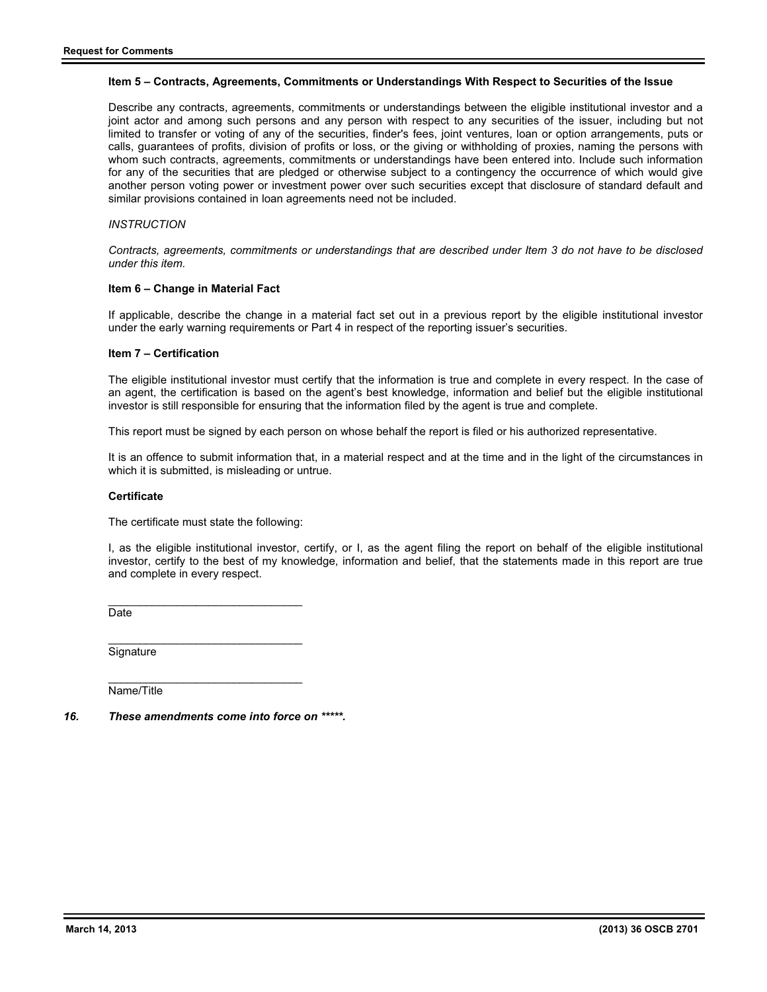### **Item 5 – Contracts, Agreements, Commitments or Understandings With Respect to Securities of the Issue**

Describe any contracts, agreements, commitments or understandings between the eligible institutional investor and a joint actor and among such persons and any person with respect to any securities of the issuer, including but not limited to transfer or voting of any of the securities, finder's fees, joint ventures, loan or option arrangements, puts or calls, guarantees of profits, division of profits or loss, or the giving or withholding of proxies, naming the persons with whom such contracts, agreements, commitments or understandings have been entered into. Include such information for any of the securities that are pledged or otherwise subject to a contingency the occurrence of which would give another person voting power or investment power over such securities except that disclosure of standard default and similar provisions contained in loan agreements need not be included.

# *INSTRUCTION*

*Contracts, agreements, commitments or understandings that are described under Item 3 do not have to be disclosed under this item.* 

#### **Item 6 – Change in Material Fact**

If applicable, describe the change in a material fact set out in a previous report by the eligible institutional investor under the early warning requirements or Part 4 in respect of the reporting issuer's securities.

#### **Item 7 – Certification**

The eligible institutional investor must certify that the information is true and complete in every respect. In the case of an agent, the certification is based on the agent's best knowledge, information and belief but the eligible institutional investor is still responsible for ensuring that the information filed by the agent is true and complete.

This report must be signed by each person on whose behalf the report is filed or his authorized representative.

It is an offence to submit information that, in a material respect and at the time and in the light of the circumstances in which it is submitted, is misleading or untrue.

#### **Certificate**

The certificate must state the following:

I, as the eligible institutional investor, certify, or I, as the agent filing the report on behalf of the eligible institutional investor, certify to the best of my knowledge, information and belief, that the statements made in this report are true and complete in every respect.

 $\overline{\phantom{a}}$  , and the set of the set of the set of the set of the set of the set of the set of the set of the set of the set of the set of the set of the set of the set of the set of the set of the set of the set of the s **Date** 

 $\overline{\phantom{a}}$  , and the set of the set of the set of the set of the set of the set of the set of the set of the set of the set of the set of the set of the set of the set of the set of the set of the set of the set of the s **Signature** 

 $\overline{\phantom{a}}$  , and the set of the set of the set of the set of the set of the set of the set of the set of the set of the set of the set of the set of the set of the set of the set of the set of the set of the set of the s Name/Title

*16. These amendments come into force on \*\*\*\*\*.*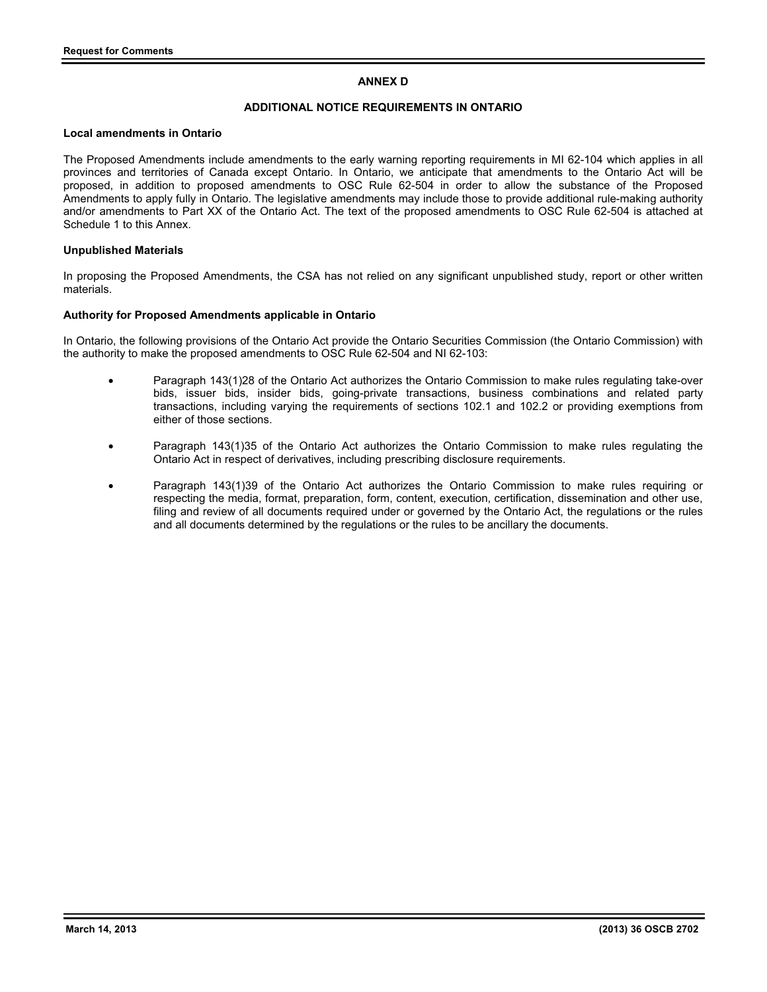# **ANNEX D**

# **ADDITIONAL NOTICE REQUIREMENTS IN ONTARIO**

#### **Local amendments in Ontario**

The Proposed Amendments include amendments to the early warning reporting requirements in MI 62-104 which applies in all provinces and territories of Canada except Ontario. In Ontario, we anticipate that amendments to the Ontario Act will be proposed, in addition to proposed amendments to OSC Rule 62-504 in order to allow the substance of the Proposed Amendments to apply fully in Ontario. The legislative amendments may include those to provide additional rule-making authority and/or amendments to Part XX of the Ontario Act. The text of the proposed amendments to OSC Rule 62-504 is attached at Schedule 1 to this Annex.

### **Unpublished Materials**

In proposing the Proposed Amendments, the CSA has not relied on any significant unpublished study, report or other written materials.

# **Authority for Proposed Amendments applicable in Ontario**

In Ontario, the following provisions of the Ontario Act provide the Ontario Securities Commission (the Ontario Commission) with the authority to make the proposed amendments to OSC Rule 62-504 and NI 62-103:

- Paragraph 143(1)28 of the Ontario Act authorizes the Ontario Commission to make rules regulating take-over bids, issuer bids, insider bids, going-private transactions, business combinations and related party transactions, including varying the requirements of sections 102.1 and 102.2 or providing exemptions from either of those sections.
- Paragraph 143(1)35 of the Ontario Act authorizes the Ontario Commission to make rules regulating the Ontario Act in respect of derivatives, including prescribing disclosure requirements.
- Paragraph 143(1)39 of the Ontario Act authorizes the Ontario Commission to make rules requiring or respecting the media, format, preparation, form, content, execution, certification, dissemination and other use, filing and review of all documents required under or governed by the Ontario Act, the regulations or the rules and all documents determined by the regulations or the rules to be ancillary the documents.